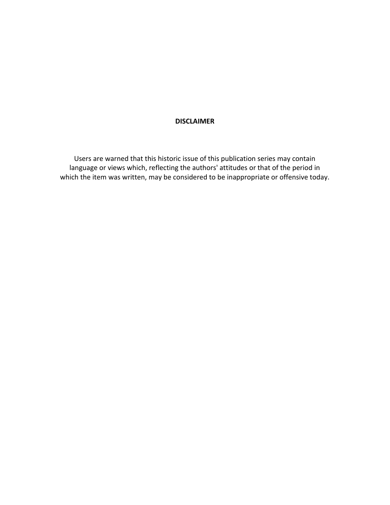# DISCLAIMER

Users are warned that this historic issue of this publication series may contain language or views which, reflecting the authors' attitudes or that of the period in which the item was written, may be considered to be inappropriate or offensive today.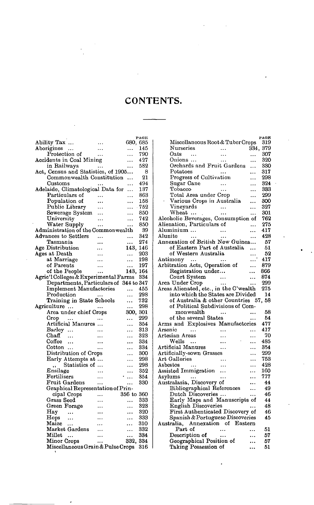| Ability Tax<br>680, 685<br>Aborigines<br>145<br>.<br>Protection of<br>790<br>$\cdots$<br>Accidents in Coal Mining<br>427<br>in Railways<br>582<br><br>Act, Census and Statistics, of 1905<br>8<br>Commonwealth Constitution<br>21<br>Customs<br>494<br><br>Adelaide, Climatological Data for<br>137<br>Particulars of<br>863<br>Population of<br>158<br>Public Library<br>- 752<br>850<br>Sewerage System<br><br>University<br>742<br><br>.<br>Water Supply<br>850<br><br>.<br>${\bf Admin}$ istration of the Commonwealth<br>39<br>Advances to Settlers<br>342<br><br>Tasmania<br>274<br>.<br>Age Distribution<br>143,<br>146<br>Ages at Death<br>203<br>.<br>at Marriage<br>198<br><br>of Parents<br>197<br>.<br>of the People<br>143,<br>164<br><br>Agric'l Colleges & Experimental Farms<br>334<br>Departments, Particulars of 344 to 347<br><b>Implement Manufactories</b><br>455<br>Production<br>298<br>$\ddotsc$<br>Training in State Schools<br>732<br>.<br>Agriculture<br>298<br>.<br><br>Area under chief Crops<br>300,<br>301<br>299<br>Crop<br><br>Artificial Manures<br>354<br>.<br>313<br>Barley<br>.<br>$_{\rm Chaff}$<br>323<br>.<br>Coffee<br>334<br><br><br>334<br>Cotton<br>$\ddotsc$<br><br>Distribution of Crops<br>300<br>.<br>Early Attempts at<br>298<br>.<br>Statistics of<br>298<br>Ensilage<br>352<br>.<br>Fertilisers<br>354<br><br>.<br>Fruit Gardens<br>330<br><br>Graphical Representation of Prin-<br>cipal Crops<br>356 to<br>360<br>Grass Seed<br>333<br>323<br>Green Forage<br>Hay<br>320<br>333<br>Hops<br><br>310<br>Maize<br>.<br>Market Gardens<br>332<br>.<br>Millet<br>334<br>$\ddotsc$<br><br>Minor Crops<br>332, 334<br>Miscellaneous Grain & Pulse Crops<br>316 |  | PAGE |
|--------------------------------------------------------------------------------------------------------------------------------------------------------------------------------------------------------------------------------------------------------------------------------------------------------------------------------------------------------------------------------------------------------------------------------------------------------------------------------------------------------------------------------------------------------------------------------------------------------------------------------------------------------------------------------------------------------------------------------------------------------------------------------------------------------------------------------------------------------------------------------------------------------------------------------------------------------------------------------------------------------------------------------------------------------------------------------------------------------------------------------------------------------------------------------------------------------------------------------------------------------------------------------------------------------------------------------------------------------------------------------------------------------------------------------------------------------------------------------------------------------------------------------------------------------------------------------------------------------------------------------------------------------------------------------------------------------------|--|------|
|                                                                                                                                                                                                                                                                                                                                                                                                                                                                                                                                                                                                                                                                                                                                                                                                                                                                                                                                                                                                                                                                                                                                                                                                                                                                                                                                                                                                                                                                                                                                                                                                                                                                                                              |  |      |
|                                                                                                                                                                                                                                                                                                                                                                                                                                                                                                                                                                                                                                                                                                                                                                                                                                                                                                                                                                                                                                                                                                                                                                                                                                                                                                                                                                                                                                                                                                                                                                                                                                                                                                              |  |      |
|                                                                                                                                                                                                                                                                                                                                                                                                                                                                                                                                                                                                                                                                                                                                                                                                                                                                                                                                                                                                                                                                                                                                                                                                                                                                                                                                                                                                                                                                                                                                                                                                                                                                                                              |  |      |
|                                                                                                                                                                                                                                                                                                                                                                                                                                                                                                                                                                                                                                                                                                                                                                                                                                                                                                                                                                                                                                                                                                                                                                                                                                                                                                                                                                                                                                                                                                                                                                                                                                                                                                              |  |      |
|                                                                                                                                                                                                                                                                                                                                                                                                                                                                                                                                                                                                                                                                                                                                                                                                                                                                                                                                                                                                                                                                                                                                                                                                                                                                                                                                                                                                                                                                                                                                                                                                                                                                                                              |  |      |
|                                                                                                                                                                                                                                                                                                                                                                                                                                                                                                                                                                                                                                                                                                                                                                                                                                                                                                                                                                                                                                                                                                                                                                                                                                                                                                                                                                                                                                                                                                                                                                                                                                                                                                              |  |      |
|                                                                                                                                                                                                                                                                                                                                                                                                                                                                                                                                                                                                                                                                                                                                                                                                                                                                                                                                                                                                                                                                                                                                                                                                                                                                                                                                                                                                                                                                                                                                                                                                                                                                                                              |  |      |
|                                                                                                                                                                                                                                                                                                                                                                                                                                                                                                                                                                                                                                                                                                                                                                                                                                                                                                                                                                                                                                                                                                                                                                                                                                                                                                                                                                                                                                                                                                                                                                                                                                                                                                              |  |      |
|                                                                                                                                                                                                                                                                                                                                                                                                                                                                                                                                                                                                                                                                                                                                                                                                                                                                                                                                                                                                                                                                                                                                                                                                                                                                                                                                                                                                                                                                                                                                                                                                                                                                                                              |  |      |
|                                                                                                                                                                                                                                                                                                                                                                                                                                                                                                                                                                                                                                                                                                                                                                                                                                                                                                                                                                                                                                                                                                                                                                                                                                                                                                                                                                                                                                                                                                                                                                                                                                                                                                              |  |      |
|                                                                                                                                                                                                                                                                                                                                                                                                                                                                                                                                                                                                                                                                                                                                                                                                                                                                                                                                                                                                                                                                                                                                                                                                                                                                                                                                                                                                                                                                                                                                                                                                                                                                                                              |  |      |
|                                                                                                                                                                                                                                                                                                                                                                                                                                                                                                                                                                                                                                                                                                                                                                                                                                                                                                                                                                                                                                                                                                                                                                                                                                                                                                                                                                                                                                                                                                                                                                                                                                                                                                              |  |      |
|                                                                                                                                                                                                                                                                                                                                                                                                                                                                                                                                                                                                                                                                                                                                                                                                                                                                                                                                                                                                                                                                                                                                                                                                                                                                                                                                                                                                                                                                                                                                                                                                                                                                                                              |  |      |
|                                                                                                                                                                                                                                                                                                                                                                                                                                                                                                                                                                                                                                                                                                                                                                                                                                                                                                                                                                                                                                                                                                                                                                                                                                                                                                                                                                                                                                                                                                                                                                                                                                                                                                              |  |      |
|                                                                                                                                                                                                                                                                                                                                                                                                                                                                                                                                                                                                                                                                                                                                                                                                                                                                                                                                                                                                                                                                                                                                                                                                                                                                                                                                                                                                                                                                                                                                                                                                                                                                                                              |  |      |
|                                                                                                                                                                                                                                                                                                                                                                                                                                                                                                                                                                                                                                                                                                                                                                                                                                                                                                                                                                                                                                                                                                                                                                                                                                                                                                                                                                                                                                                                                                                                                                                                                                                                                                              |  |      |
|                                                                                                                                                                                                                                                                                                                                                                                                                                                                                                                                                                                                                                                                                                                                                                                                                                                                                                                                                                                                                                                                                                                                                                                                                                                                                                                                                                                                                                                                                                                                                                                                                                                                                                              |  |      |
|                                                                                                                                                                                                                                                                                                                                                                                                                                                                                                                                                                                                                                                                                                                                                                                                                                                                                                                                                                                                                                                                                                                                                                                                                                                                                                                                                                                                                                                                                                                                                                                                                                                                                                              |  |      |
|                                                                                                                                                                                                                                                                                                                                                                                                                                                                                                                                                                                                                                                                                                                                                                                                                                                                                                                                                                                                                                                                                                                                                                                                                                                                                                                                                                                                                                                                                                                                                                                                                                                                                                              |  |      |
|                                                                                                                                                                                                                                                                                                                                                                                                                                                                                                                                                                                                                                                                                                                                                                                                                                                                                                                                                                                                                                                                                                                                                                                                                                                                                                                                                                                                                                                                                                                                                                                                                                                                                                              |  |      |
|                                                                                                                                                                                                                                                                                                                                                                                                                                                                                                                                                                                                                                                                                                                                                                                                                                                                                                                                                                                                                                                                                                                                                                                                                                                                                                                                                                                                                                                                                                                                                                                                                                                                                                              |  |      |
|                                                                                                                                                                                                                                                                                                                                                                                                                                                                                                                                                                                                                                                                                                                                                                                                                                                                                                                                                                                                                                                                                                                                                                                                                                                                                                                                                                                                                                                                                                                                                                                                                                                                                                              |  |      |
|                                                                                                                                                                                                                                                                                                                                                                                                                                                                                                                                                                                                                                                                                                                                                                                                                                                                                                                                                                                                                                                                                                                                                                                                                                                                                                                                                                                                                                                                                                                                                                                                                                                                                                              |  |      |
|                                                                                                                                                                                                                                                                                                                                                                                                                                                                                                                                                                                                                                                                                                                                                                                                                                                                                                                                                                                                                                                                                                                                                                                                                                                                                                                                                                                                                                                                                                                                                                                                                                                                                                              |  |      |
|                                                                                                                                                                                                                                                                                                                                                                                                                                                                                                                                                                                                                                                                                                                                                                                                                                                                                                                                                                                                                                                                                                                                                                                                                                                                                                                                                                                                                                                                                                                                                                                                                                                                                                              |  |      |
|                                                                                                                                                                                                                                                                                                                                                                                                                                                                                                                                                                                                                                                                                                                                                                                                                                                                                                                                                                                                                                                                                                                                                                                                                                                                                                                                                                                                                                                                                                                                                                                                                                                                                                              |  |      |
|                                                                                                                                                                                                                                                                                                                                                                                                                                                                                                                                                                                                                                                                                                                                                                                                                                                                                                                                                                                                                                                                                                                                                                                                                                                                                                                                                                                                                                                                                                                                                                                                                                                                                                              |  |      |
|                                                                                                                                                                                                                                                                                                                                                                                                                                                                                                                                                                                                                                                                                                                                                                                                                                                                                                                                                                                                                                                                                                                                                                                                                                                                                                                                                                                                                                                                                                                                                                                                                                                                                                              |  |      |
|                                                                                                                                                                                                                                                                                                                                                                                                                                                                                                                                                                                                                                                                                                                                                                                                                                                                                                                                                                                                                                                                                                                                                                                                                                                                                                                                                                                                                                                                                                                                                                                                                                                                                                              |  |      |
|                                                                                                                                                                                                                                                                                                                                                                                                                                                                                                                                                                                                                                                                                                                                                                                                                                                                                                                                                                                                                                                                                                                                                                                                                                                                                                                                                                                                                                                                                                                                                                                                                                                                                                              |  |      |
|                                                                                                                                                                                                                                                                                                                                                                                                                                                                                                                                                                                                                                                                                                                                                                                                                                                                                                                                                                                                                                                                                                                                                                                                                                                                                                                                                                                                                                                                                                                                                                                                                                                                                                              |  |      |
|                                                                                                                                                                                                                                                                                                                                                                                                                                                                                                                                                                                                                                                                                                                                                                                                                                                                                                                                                                                                                                                                                                                                                                                                                                                                                                                                                                                                                                                                                                                                                                                                                                                                                                              |  |      |
|                                                                                                                                                                                                                                                                                                                                                                                                                                                                                                                                                                                                                                                                                                                                                                                                                                                                                                                                                                                                                                                                                                                                                                                                                                                                                                                                                                                                                                                                                                                                                                                                                                                                                                              |  |      |
|                                                                                                                                                                                                                                                                                                                                                                                                                                                                                                                                                                                                                                                                                                                                                                                                                                                                                                                                                                                                                                                                                                                                                                                                                                                                                                                                                                                                                                                                                                                                                                                                                                                                                                              |  |      |
|                                                                                                                                                                                                                                                                                                                                                                                                                                                                                                                                                                                                                                                                                                                                                                                                                                                                                                                                                                                                                                                                                                                                                                                                                                                                                                                                                                                                                                                                                                                                                                                                                                                                                                              |  |      |
|                                                                                                                                                                                                                                                                                                                                                                                                                                                                                                                                                                                                                                                                                                                                                                                                                                                                                                                                                                                                                                                                                                                                                                                                                                                                                                                                                                                                                                                                                                                                                                                                                                                                                                              |  |      |
|                                                                                                                                                                                                                                                                                                                                                                                                                                                                                                                                                                                                                                                                                                                                                                                                                                                                                                                                                                                                                                                                                                                                                                                                                                                                                                                                                                                                                                                                                                                                                                                                                                                                                                              |  |      |
|                                                                                                                                                                                                                                                                                                                                                                                                                                                                                                                                                                                                                                                                                                                                                                                                                                                                                                                                                                                                                                                                                                                                                                                                                                                                                                                                                                                                                                                                                                                                                                                                                                                                                                              |  |      |
|                                                                                                                                                                                                                                                                                                                                                                                                                                                                                                                                                                                                                                                                                                                                                                                                                                                                                                                                                                                                                                                                                                                                                                                                                                                                                                                                                                                                                                                                                                                                                                                                                                                                                                              |  |      |
|                                                                                                                                                                                                                                                                                                                                                                                                                                                                                                                                                                                                                                                                                                                                                                                                                                                                                                                                                                                                                                                                                                                                                                                                                                                                                                                                                                                                                                                                                                                                                                                                                                                                                                              |  |      |
|                                                                                                                                                                                                                                                                                                                                                                                                                                                                                                                                                                                                                                                                                                                                                                                                                                                                                                                                                                                                                                                                                                                                                                                                                                                                                                                                                                                                                                                                                                                                                                                                                                                                                                              |  |      |
|                                                                                                                                                                                                                                                                                                                                                                                                                                                                                                                                                                                                                                                                                                                                                                                                                                                                                                                                                                                                                                                                                                                                                                                                                                                                                                                                                                                                                                                                                                                                                                                                                                                                                                              |  |      |
|                                                                                                                                                                                                                                                                                                                                                                                                                                                                                                                                                                                                                                                                                                                                                                                                                                                                                                                                                                                                                                                                                                                                                                                                                                                                                                                                                                                                                                                                                                                                                                                                                                                                                                              |  |      |
|                                                                                                                                                                                                                                                                                                                                                                                                                                                                                                                                                                                                                                                                                                                                                                                                                                                                                                                                                                                                                                                                                                                                                                                                                                                                                                                                                                                                                                                                                                                                                                                                                                                                                                              |  |      |
|                                                                                                                                                                                                                                                                                                                                                                                                                                                                                                                                                                                                                                                                                                                                                                                                                                                                                                                                                                                                                                                                                                                                                                                                                                                                                                                                                                                                                                                                                                                                                                                                                                                                                                              |  |      |
|                                                                                                                                                                                                                                                                                                                                                                                                                                                                                                                                                                                                                                                                                                                                                                                                                                                                                                                                                                                                                                                                                                                                                                                                                                                                                                                                                                                                                                                                                                                                                                                                                                                                                                              |  |      |
|                                                                                                                                                                                                                                                                                                                                                                                                                                                                                                                                                                                                                                                                                                                                                                                                                                                                                                                                                                                                                                                                                                                                                                                                                                                                                                                                                                                                                                                                                                                                                                                                                                                                                                              |  |      |
|                                                                                                                                                                                                                                                                                                                                                                                                                                                                                                                                                                                                                                                                                                                                                                                                                                                                                                                                                                                                                                                                                                                                                                                                                                                                                                                                                                                                                                                                                                                                                                                                                                                                                                              |  |      |
|                                                                                                                                                                                                                                                                                                                                                                                                                                                                                                                                                                                                                                                                                                                                                                                                                                                                                                                                                                                                                                                                                                                                                                                                                                                                                                                                                                                                                                                                                                                                                                                                                                                                                                              |  |      |
|                                                                                                                                                                                                                                                                                                                                                                                                                                                                                                                                                                                                                                                                                                                                                                                                                                                                                                                                                                                                                                                                                                                                                                                                                                                                                                                                                                                                                                                                                                                                                                                                                                                                                                              |  |      |
|                                                                                                                                                                                                                                                                                                                                                                                                                                                                                                                                                                                                                                                                                                                                                                                                                                                                                                                                                                                                                                                                                                                                                                                                                                                                                                                                                                                                                                                                                                                                                                                                                                                                                                              |  |      |
|                                                                                                                                                                                                                                                                                                                                                                                                                                                                                                                                                                                                                                                                                                                                                                                                                                                                                                                                                                                                                                                                                                                                                                                                                                                                                                                                                                                                                                                                                                                                                                                                                                                                                                              |  |      |
|                                                                                                                                                                                                                                                                                                                                                                                                                                                                                                                                                                                                                                                                                                                                                                                                                                                                                                                                                                                                                                                                                                                                                                                                                                                                                                                                                                                                                                                                                                                                                                                                                                                                                                              |  |      |
|                                                                                                                                                                                                                                                                                                                                                                                                                                                                                                                                                                                                                                                                                                                                                                                                                                                                                                                                                                                                                                                                                                                                                                                                                                                                                                                                                                                                                                                                                                                                                                                                                                                                                                              |  |      |
|                                                                                                                                                                                                                                                                                                                                                                                                                                                                                                                                                                                                                                                                                                                                                                                                                                                                                                                                                                                                                                                                                                                                                                                                                                                                                                                                                                                                                                                                                                                                                                                                                                                                                                              |  |      |

|                                        |                   |           | PAGE |
|----------------------------------------|-------------------|-----------|------|
| Miscellaneous Root & Tuber Crops       |                   |           | 319  |
| Nurseries                              | .                 | 334, 379  |      |
| $_{\rm Oats}$<br>$\sim$                |                   |           | 307  |
| Onions                                 | .                 |           | 320  |
| Orchards and Fruit Gardens             |                   | .         | 330  |
| Potatoes                               |                   | $\ddotsc$ | 317  |
| Progress of Cultivation                |                   |           | 298  |
| Sugar Cane                             |                   |           | 324  |
| Tobacco                                | .                 | $\ddotsc$ | 333  |
| Total Area under Crop                  |                   |           | 299  |
| Various Crops in Australia             |                   | .         | 300  |
| Vineyards                              | $\ddots$          | .         | 327  |
| Wheat                                  | .                 |           | 301  |
| Alcoholic Beverages, Consumption of    |                   |           | 762  |
| Alienation, Particulars of             |                   |           | 275  |
| Aluminium                              |                   |           | 417  |
| Alunite<br>$\ddotsc$                   | $\ddotsc$         |           | 428  |
| Annexation of British New Guinea       |                   |           | 57   |
| of Eastern Part of Australia           |                   |           | 51   |
| of Western Australia                   |                   | .         | 52   |
| Antimony<br>$\ddots$                   |                   | .         | 417  |
| Arbitration Acts, Operation of         |                   |           | 879  |
| Registration under                     |                   |           | 866  |
| Court System                           |                   | .         | 874  |
| Area Under Crop                        | $\sim$ 100 $\sim$ |           | 299  |
| Areas Alienated, etc., in the C'wealth | $\ddotsc$         |           | 275  |
| into which the States are Divided      |                   |           | 14   |
|                                        |                   |           |      |
| of Australia & other Countries 57, 58  |                   |           |      |
| of Political Subdivisions of Com-      |                   |           |      |
| ${\bf mon wealth}$                     |                   |           | 58   |
| of the several States                  |                   |           | 54   |
| Arms and Explosives Manufactories      |                   |           | 477  |
| Arsenic<br>                            |                   | .         | 417  |
| Artesian Areas                         | $\ddotsc$         | .         | 70   |
| Wells<br>$\cdots$                      |                   | .         | 485  |
| Artificial Manures                     |                   | .         | 354  |
| Artificially-sown Grasses              |                   |           | 299  |
| Art Galleries                          |                   |           | 753  |
| Asbestos                               | .                 |           | 428  |
| Assisted Immigration                   |                   | .         | 160  |
| Asylums<br>$\cdots$                    | $\cdots$          |           | 777  |
| Australasia, Discovery of              |                   |           | 44   |
| Bibliographical References             |                   |           | 49   |
| Dutch Discoveries                      |                   | .         | 46   |
| Early Maps and Manuscripts of          |                   |           | 44   |
| <b>English Discoveries</b>             |                   |           | 48   |
| First Authenticated Discovery of       |                   |           | 46   |
| Spanish & Portuguese Discoveries       |                   |           | 45   |
| Australia, Annexation of Eastern       |                   |           |      |
| Part of                                |                   |           | 51   |
| Description of                         | $\cdots$          |           | 57   |
| Geographical Position of               |                   |           | 57   |
|                                        |                   |           |      |
| Taking Possession of                   |                   |           | 51   |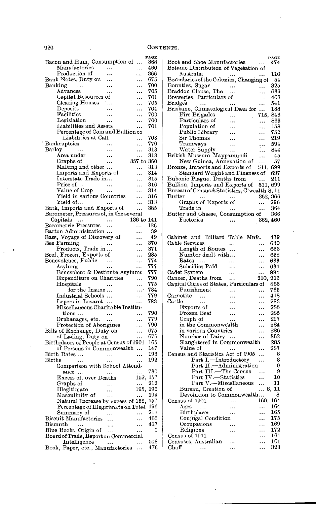|                                                                           | PAGE       |
|---------------------------------------------------------------------------|------------|
| Bacon and Ham, Consumption of<br>                                         | 368        |
| Manufactories<br><br>Production of                                        | 460<br>366 |
| <br>Bank Notes, Duty on                                                   | 675        |
| .<br>Banking<br>$\sim$ $\sim$<br>.                                        | 700        |
| Advances<br><br>.                                                         | 705        |
| Capital Resources of<br>.                                                 | 701        |
| Clearing Houses<br>. <b>.</b><br>.                                        | 705        |
| $\bold{Deposits}$<br><br>                                                 | 704        |
| Facilities<br><br>.                                                       | 700        |
| Legislation<br><br>                                                       | 700        |
| Liabilities and Assets<br>.                                               | 701        |
| Percentage of Coin and Bullion to                                         |            |
| Liabilities at Call<br>.                                                  | 703        |
| Bankruptcies<br>                                                          | 770        |
| Barley<br>                                                                | 313        |
| Area under<br>$\ddotsc$<br>                                               | $^{313}$   |
| 357 to 360<br>Graphs of                                                   |            |
| Malting and other<br><br>Imports and Exports of                           | 313<br>314 |
| .<br>Interstate Trade in                                                  | 315        |
| .<br>Price of<br>$\ddotsc$<br>.                                           | 316        |
| Value of Crop<br><br>                                                     | 314        |
| Yield in various Countries<br>                                            | $^{316}$   |
| Yield of<br>.                                                             | 313        |
| Bark, Imports and Exports of<br>                                          | 385        |
| Barometer, Pressures of, in the several                                   |            |
| 136 to<br>Capitals<br>$\ddotsc$                                           | 141        |
| Barometric Pressures<br>$\ddotsc$<br>                                     | 126        |
| Barton Administration<br>.                                                | 39         |
| Bass, Voyage of Discovery of<br>.                                         | 49         |
| Bee Farming<br>.                                                          | 370        |
|                                                                           | 371        |
|                                                                           | 285        |
| Products, Trade in<br>Beef, Frozen, Exports of<br>Benevolence, Public<br> | 774        |
| Asvlums<br><br>                                                           | 777        |
| Benevolent & Destitute Asylums                                            | 777        |
| Expenditure on Charities<br>.                                             | 790        |
| Hospitals<br>.                                                            | 775        |
| for the Insane<br><br>Industrial Schools                                  | 784<br>779 |
| .<br>Lepers in Lazaret                                                    | 783        |
| <br>Miscellaneous Charitable Institu-                                     |            |
| tions<br><br>.                                                            | 790        |
| Orphanages, etc.<br>                                                      | 779        |
| Protection of Aborigines<br>.                                             | 790        |
| Bills of Exchange, Duty on<br>                                            | 675        |
| of Lading, Duty on<br>.                                                   | 676        |
| Birthplaces of People at Census of 1901                                   | 165        |
| of Persons in Commonwealth<br>                                            | 147        |
| Birth Rates<br>.<br>$\ddotsc$                                             | 193        |
| $_{\rm Births}$                                                           | 192        |
| Comparison with School Attend-                                            |            |
| $\ddotsc$<br>$i$ ance                                                     | 730        |
| Excess of, over Deaths<br>152,                                            | 157        |
| Graphs of<br><br>.                                                        | 212        |
| 195,<br>Illegitimate<br>                                                  | 196<br>194 |
| Masculinity of<br>                                                        | 157        |
| Natural Increase by excess of 152,<br>Percentage of Illegitimate on Total | 196        |
| Summary of                                                                | 211        |
| Biscuit Manufactories                                                     | 463        |
| Bismuth<br>$\ddotsc$                                                      | 417        |
| Blue Books, Origin of<br>.<br>                                            | 1          |
| Board of Trade, Report on Commercial                                      |            |
| Intelligence<br><br>                                                      | 518        |
| Book, Paper, etc., Manufactories<br>.                                     | 476        |

|                                                                                                |           |          | PAGE     |
|------------------------------------------------------------------------------------------------|-----------|----------|----------|
| Boot and Shoe Manufactories                                                                    |           |          | 474      |
| Botanic Distribution of Vegetation of                                                          |           |          |          |
| Australia                                                                                      |           |          | 110      |
| Boundaries of the Colonies, Changing of                                                        |           |          | 54       |
|                                                                                                |           |          |          |
| Bounties, Sugar                                                                                | .         | .        | 325      |
| Braddon Clause, The                                                                            |           |          | 639      |
| Breweries, Particulars of                                                                      |           |          | 468      |
| <b>Bridges</b><br>                                                                             |           |          | 541      |
| Brisbane, Climatological Data for                                                              |           |          | 138      |
| Fire Brigades                                                                                  |           | 715,     | 846      |
| Particulars of                                                                                 |           |          | 863      |
| Population of                                                                                  |           |          | 158      |
|                                                                                                |           |          |          |
| Public Library                                                                                 |           |          | 752      |
| Sir Thomas                                                                                     |           |          | 219      |
| Tramways                                                                                       |           |          | 594      |
| Water Supply                                                                                   |           |          | 844      |
| British Museum Mappamundi                                                                      |           |          | 45       |
| New Guinea, Annexation of                                                                      |           |          | 57       |
| Bronze, Imports and Exports of                                                                 |           | 511,     | 699      |
| Standard Weight and Fineness of                                                                |           |          | 697      |
| Bubonic Plague, Deaths from                                                                    |           |          | 211      |
|                                                                                                |           | $\cdots$ |          |
| Bullion, Imports and Exports of                                                                |           | 511, 699 |          |
| Bureau of Census & Statistics, C'wealth 8, 11                                                  |           |          |          |
| Butter<br>$\ddotsc$                                                                            |           |          | 362, 366 |
| Graphs of Exports of                                                                           |           | $\cdots$ | 296      |
| Trade in                                                                                       | $\ddotsc$ |          | 364      |
| Butter and Cheese, Consumption of                                                              |           |          | -366     |
| Factories                                                                                      |           |          | 362, 460 |
|                                                                                                |           |          |          |
|                                                                                                |           |          |          |
|                                                                                                |           |          |          |
| Cabinet and Billiard Table Mnfs.                                                               |           |          | 479      |
| Cable Services                                                                                 | .         |          | 630      |
| Length of Routes                                                                               |           | .        | 633      |
| Number dealt with                                                                              |           | .        | 632      |
| $\rm\,Rates$                                                                                   |           | .        | 633      |
| Subsidies Paid                                                                                 |           |          | 634      |
| Cadet System                                                                                   |           |          | 894      |
|                                                                                                | .         |          |          |
| Cancer, Deaths from                                                                            |           | 210,     | $^{213}$ |
| Capital Cities of States, Particulars of                                                       |           |          | 863      |
| Punishment                                                                                     |           |          | 765      |
| $\emph{Carnotic}$<br>                                                                          |           |          | 418      |
| Cattle<br>$\cdots$                                                                             |           | .        | 283      |
| Exports of                                                                                     |           | .        | 285      |
| Frozen Beef                                                                                    |           |          | 285      |
| Graph of                                                                                       |           |          | 297      |
|                                                                                                |           |          |          |
| in the Commonwealth                                                                            |           |          | 284      |
| in various Countries                                                                           |           |          | 286      |
| Number of Dairy                                                                                | $\ldots$  |          | 362      |
| Slaughtered in Commonwealth                                                                    |           |          | 285      |
| Value of                                                                                       |           |          | 287      |
| Census and Statistics Act of 1905                                                              |           |          | 8        |
| Part I.—Introductory<br>Part II.—Administration<br>Part III.—The Census<br>Part IV.—Statistics |           |          | 8        |
|                                                                                                |           |          | 9        |
|                                                                                                |           |          | 9        |
|                                                                                                |           |          |          |
|                                                                                                |           |          | 10       |
| Part V.-Miscellaneous                                                                          |           | $\cdots$ | 11       |
| Bureau, Creation of                                                                            |           |          | 8, 11    |
| Devolution to Commonwealth                                                                     |           |          | 8        |
| Census of 1901                                                                                 | .         | 160.     | 164      |
| Ages<br>                                                                                       |           | .        | 164      |
| Birthplaces                                                                                    |           | .        | 165      |
| Conjugal Condition                                                                             |           |          | 175      |
|                                                                                                |           |          |          |
| Occupations                                                                                    |           | .        | 169      |
| Religions                                                                                      |           |          | 172      |
| Census of 1911                                                                                 |           | μ,       | 161      |
| Censuses, Australian                                                                           |           | ٠.       | 161      |
| $_{\rm Chaff}$<br>                                                                             |           |          | 323      |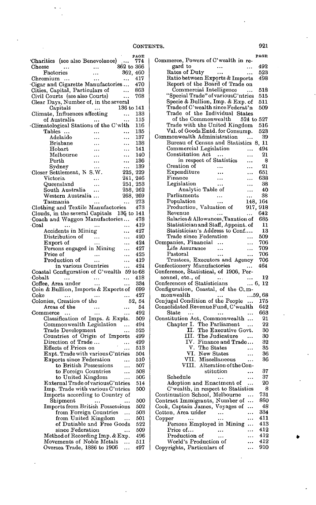|                                                            |                                                           |           |            | PAGE       |
|------------------------------------------------------------|-----------------------------------------------------------|-----------|------------|------------|
| 'Charities (see also Benevolence)                          |                                                           |           | 362 to 366 | 774        |
| <b>Cheese</b><br>Factories                                 |                                                           |           | 362, 460   |            |
| Chromium                                                   |                                                           |           | .          | 417        |
| Cigar and Cigarette Manufactories                          |                                                           |           |            | 470        |
| Cities, Capital, Particulars of                            |                                                           |           | $\ddotsc$  | 863        |
| Civil Courts (see also Courts)                             |                                                           |           |            | 768        |
| Clear Days, Number of, in the several                      |                                                           |           |            |            |
| Capitals<br>Climate, Influences affecting                  |                                                           |           | 136 to 141 |            |
|                                                            |                                                           |           |            | 133        |
| of Australia                                               |                                                           |           |            | 115        |
| Climatological Stations of the C'wlth                      |                                                           |           |            | 116        |
| Tables                                                     | Adelaide                                                  |           |            | 135<br>137 |
|                                                            | Brisbane                                                  |           | <br>.      | 138        |
| Hobart                                                     |                                                           |           | .          | 141        |
|                                                            | Melbourne                                                 |           |            | 140        |
| $_{\rm{Perth}}$                                            |                                                           |           |            | 136        |
| Sydney                                                     |                                                           | .         |            | 139        |
| Closer Settlement, N S.W.                                  |                                                           |           | 225,       | 229        |
| Victoria                                                   |                                                           |           | 241,       | 246        |
| Queensland                                                 |                                                           |           | 251,       | 253        |
|                                                            | South Australia                                           |           | 258,       | 262        |
|                                                            | Western Australia                                         |           | 268.       | 269        |
| Tasmania<br>Clothing and Textile Manufactories             |                                                           | .         | .          | 273<br>473 |
| Clouds, in the several Capitals 136 to 141                 |                                                           |           |            |            |
| Coach and Waggon Manufactories                             |                                                           |           |            | 478        |
| <b>Coal</b>                                                |                                                           |           |            | 419        |
|                                                            | Accidents in Mining                                       |           | .          | 427        |
|                                                            | Distribution of                                           |           | .          | 420        |
| Export of                                                  |                                                           |           |            | 424        |
|                                                            | Persons engaged in Mining                                 |           | .          | 427        |
| Price of                                                   |                                                           |           |            | 425        |
|                                                            | Production of                                             |           |            | 419        |
|                                                            | in various Countries                                      |           |            | 424        |
| Coastal Configuration of C'wealth 59 to 68                 |                                                           |           |            |            |
| ·Cobalt                                                    |                                                           | $\ddotsc$ |            | 418        |
| Coffee, Area under<br>Coin & Bullion, Imports & Exports of |                                                           | .         |            | 334<br>699 |
| Coke                                                       |                                                           |           |            | 427        |
| Colonies, Creation of the                                  |                                                           |           |            | 52, 54     |
|                                                            | Areas of the                                              |           |            | 54         |
| Commerce                                                   | $\cdots$                                                  |           | .          | 492        |
|                                                            | Classification of Imps. & Expts.                          |           |            | 509        |
|                                                            | Commonwealth Legislation                                  |           | .          | 494        |
|                                                            | Trade Development                                         |           | .          | 525        |
|                                                            | Countries of Origin of Imports                            |           |            | 499        |
|                                                            | Direction of Trade                                        |           | .          | 499        |
|                                                            | Effects of Prices on<br>Expt. Trade with various C'ntries |           |            | 513        |
|                                                            | <b>Exports since Federation</b>                           |           |            | 504<br>510 |
|                                                            | to British Possessions                                    |           | <br>       | 507        |
|                                                            | to Foreign Countries                                      |           | .          | 508        |
|                                                            | to United Kingdom                                         |           |            | 506        |
|                                                            | External Trade of variousC'ntries                         |           |            | 514        |
|                                                            | Imp. Trade with various C'ntries                          |           |            | 500        |
|                                                            | Imports according to Country of                           |           |            |            |
|                                                            | ${\rm Shipment}$                                          |           | .          | 500        |
|                                                            | <b>Imports from British Possessions</b>                   |           |            | 502        |
|                                                            | from Foreign Countries                                    |           |            | 503        |
|                                                            | from United Kingdom                                       |           | .          | 501        |
|                                                            | of Dutiable and Free Goods                                |           |            | 522        |
|                                                            | since Federation<br>Method of Recording Imp. & Exp.       |           | .          | 509<br>496 |
|                                                            | Movements of Noble Metals                                 |           | .          | 511        |
|                                                            | Oversea Trade, 1886 to 1906                               |           | .          | 497        |
|                                                            |                                                           |           |            |            |

 $\ddot{\phantom{a}}$ 

| Commerce, Powers of C'wealth in re-                         |           | PAGE           |
|-------------------------------------------------------------|-----------|----------------|
|                                                             |           |                |
| gard to<br>                                                 |           | 492            |
| Rates of Duty<br>$\ldots$                                   | .         | 523            |
| Ratio between Exports & Imports                             |           | 498            |
| Report of the Board of Trade on                             |           |                |
| Commercial Intelligence                                     | $\sim$    | 518            |
| "Special Trade" of variousC'ntries                          |           | 515            |
| Specie & Bullion, Imp. & Exp. of                            |           | 511            |
| Trade of C'wealth since Federat'n                           |           | 509            |
| Trade of the Individual States                              |           |                |
| of the Commonwealth 524 to 527                              |           |                |
| Trade with the United Kingdom                               |           | 516            |
| Val. of Goods Entd. for Consump.                            |           | 523            |
| Commonwealth Administration                                 |           | 39             |
| Bureau of Census and Statistics 8, 11                       | $\cdots$  |                |
|                                                             |           |                |
| Commercial Legislation                                      |           | 494            |
| Constitution Act<br>$\sim$                                  |           | 21             |
| in respect of Statistics                                    |           | 8              |
| Creation of<br>                                             |           | 21             |
| Expenditure                                                 |           | 651            |
| Finance                                                     |           | 638            |
| Legislation<br>                                             |           | 38             |
| Analytic Table of                                           |           | 40             |
| Parliaments                                                 |           | 38             |
| Population                                                  | 148,      | 164            |
| <br>Production, Valuation of                                |           | 917, 918       |
|                                                             |           |                |
| Revenue                                                     | .         | 642            |
| Salaries & Allowances, Taxation of                          |           | 685            |
| Statistician and Staff, Appoint. of                         |           | 11             |
| Statistician's Address to Conf                              |           | 13             |
| Trade since Federation                                      |           | 509            |
| Companies, Financial                                        |           | 706            |
| Life Assurance<br>                                          |           | 709            |
| Pastoral<br>$\ddotsc$                                       |           | 706            |
| Trustees, Executors and Agency                              |           | 706            |
| Confectionery Manufactories                                 |           |                |
|                                                             |           |                |
|                                                             | $\ldots$  | 464            |
| Conference, Štatistical, of 1906, Per-                      |           |                |
| sonnel, etc., of<br>$\ldots$                                |           | 12             |
| Conferences of Statisticians                                |           | $\ldots$ 6, 12 |
| Configuration, Coastal, of the Com-                         |           |                |
| monwealth<br>$\cdots$                                       |           | …59, 68        |
| Conjugal Condition of the People                            | $\ldots$  | 175            |
| Consolidated Revenue Fund, C'wealth                         |           | 642            |
| State<br>$\ldots$<br>                                       |           | 663            |
|                                                             |           | 21             |
| Constitution Act, Commonwealth<br>Chapter I. The Parliament | $\cdots$  | 22             |
|                                                             |           | 30             |
| II. The Executive Govt.                                     |           |                |
|                                                             |           | 30             |
| III. The Judicature<br>IV. Finance and Trade                |           | 32             |
| V. The States                                               | $\ddotsc$ | 35             |
| VI. New States                                              | .         | 36             |
| VII. Miscellaneous                                          |           | 36             |
| VIII. Alteration of the Con-                                |           |                |
| stitution                                                   |           | 37             |
| Schedule<br>$\cdots$                                        |           | 37             |
| Adoption and Enactment of                                   | $\cdots$  | 20             |
| C'wealth, in respect to Statistics                          |           | 8              |
|                                                             |           | 731            |
| Continuation School, Melbourne                              |           | 880            |
| Contract Immigrants, Number of                              |           | 48             |
| Cook, Captain James, Voyages of                             | .         |                |
| Cotton, Area under<br>                                      |           | 334            |
| Copper<br><br>                                              |           | 411            |
| Persons Employed in Mining                                  |           | 413            |
| Price of<br>                                                | .         | 412            |
| Production of                                               |           | 412            |
| World's Production of<br>Copyrights, Particulars of         | . .       | 412<br>910     |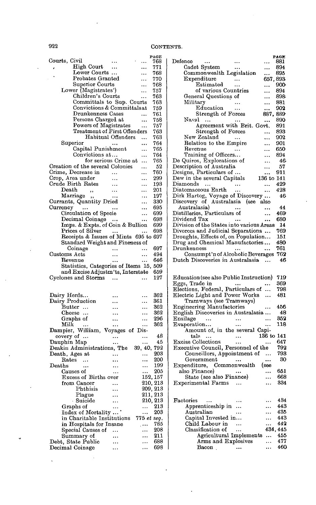|                                         |                      |             | PAGE        |
|-----------------------------------------|----------------------|-------------|-------------|
| Courts, Civil                           |                      |             | 768         |
| High Court                              |                      |             | 771         |
| Lower Courts                            |                      | .           | 768         |
| $\footnotesize$ Probates Granted        |                      | .           | 770         |
| Superior Courts                         |                      |             | 768         |
| Lower (Magistrates')                    |                      | .           | 757         |
| Children's Courts                       |                      | .           | 763         |
| Committals to Sup. Courts               |                      |             | 763         |
| Convictions & Committalsat              |                      |             | 759         |
| Drunkenness Cases                       |                      |             | 761         |
| Persons Charged at                      |                      |             | 758         |
| Powers of Magistrates                   |                      |             | 757         |
| Treatment of First Offenders            |                      |             | 763         |
|                                         | Habitual Offenders   |             | 763         |
| Superior                                |                      |             | 764         |
| Capital Punishment                      |                      |             | 765         |
| Convictions at                          |                      | .           | 764         |
|                                         | for serious Crime at | .           | 765         |
| Creation of the several Colonies        |                      | .           | 52          |
| Crime, Decrease in                      |                      | .           | 760         |
| Crop, Area under                        |                      |             | 299         |
| Crude Birth Rates                       |                      | .           | 193         |
| $\rm{Death}$                            |                      | .           | 201         |
| ,,<br>Marriage,                         |                      |             | 197         |
|                                         |                      |             | 330         |
| Currants, Quantity Dried                |                      |             | 695         |
| Currency<br>$\sim 100$ and $\sim 100$   |                      | .           |             |
| Circulation of Specie                   |                      |             | 699         |
| Decimal Coinage                         |                      |             | 698         |
| Imps. & Expts. of Coin & Bullion        |                      |             | 699         |
| Prices of Silver                        |                      |             | 698         |
| Receipts & Issues of Mints 695 to 697   |                      |             |             |
| Standard Weight and Fineness of         |                      |             |             |
| Coinage                                 |                      |             | 697         |
| Customs Acts                            |                      |             | 494         |
| Revenue                                 |                      |             | 646         |
| Statistics, Categories of Items 15, 509 |                      |             |             |
| and Excise Adjustm'ts, Interstate       |                      |             | 659         |
| Cyclones and Storms                     | $\ddotsc$            |             | 127         |
|                                         |                      |             |             |
|                                         |                      |             |             |
| Dairy Herds                             |                      |             | 362         |
| Dairy Production                        | $\ddot{\phantom{a}}$ | .           | 361         |
| $_{\rm Butter}$                         |                      |             | 362         |
| $\rm{Cheese}$ $\ldots$                  |                      |             | 362         |
| Graphs of                               |                      |             | 296         |
| Milk<br>$\sim$ 100 $\pm$                |                      |             | 362         |
| Dampier, William, Voyages of Dis-       |                      |             |             |
| covery of                               |                      |             | 48          |
| Dauphin Map                             |                      |             | 45          |
| Deakin Administrations, The 39, 40, 792 |                      |             |             |
| Death, Ages at                          |                      | $\ddotsc$   | 203         |
| $\rm\bf Rates$<br>$\ldots$              |                      |             | 200         |
| $\mathbf{Deaths}$<br>$\ddotsc$          |                      |             | 199         |
| Causes of                               |                      |             | 205         |
| Excess of Births over                   |                      |             | 152, 157    |
| from Cancer                             |                      | 210,        | $^{213}$    |
| Phthisis                                |                      |             | 209, 213    |
| Plague                                  |                      |             | 211, 213    |
| Suicide                                 |                      |             | $210,\,213$ |
| Graphs of                               |                      | .           | 213         |
| Index of Mortality                      |                      |             | 203         |
| in Charitable Institutions              | $\cdots$             | 775 et seq, |             |
| in Hospitals for Insane                 |                      | $\ldots$    | 785         |
|                                         |                      |             | 208         |
| Special Causes of                       |                      | .           | 211         |
| Summary of<br>Debt, State Public        |                      |             | 688         |
|                                         |                      |             | 698         |
| Decimal Coinage                         |                      | .           |             |

|                                           |           |            | PAGE       |
|-------------------------------------------|-----------|------------|------------|
| $\mathop{\mathrm{Defence}}$<br>           |           |            | 881        |
| Cadet System                              |           |            | 894        |
| Commonwealth Legislation                  |           |            | 895        |
| Expenditure                               | $\ldots$  | 657, 893   |            |
|                                           |           |            |            |
| Estimated                                 |           |            | 900        |
| of various Countries                      |           |            | 894        |
| General Questions of                      |           |            | 898        |
| Military                                  |           |            | 881        |
| ${\bf Education}$                         |           |            | 902        |
| Strength of Forces                        |           | 887,       | 889        |
| Naval                                     |           |            |            |
|                                           |           |            | 890        |
| Agreement with Brit. Govt.                |           |            | 891        |
| <b>Strength of Forces</b>                 |           |            | 893        |
| New Zealand                               |           |            | 902        |
| Relation to the Empire                    |           |            | 901        |
| Revenue                                   |           |            | 650        |
|                                           |           |            |            |
| Training of Officers                      |           |            | 894        |
| De Quiros, Explorations of                |           |            | 46         |
| Description of Australia                  |           |            | 57         |
| Designs, Particulars of                   |           |            | 911        |
| Dew in the several Capitals               |           | 136 to     | 141        |
|                                           |           |            |            |
| Diamonds<br>$\ddotsc$                     |           |            | 429        |
| Diatomaceous Earth                        |           |            | 428        |
| Dirk Hartog, Voyage of Discovery          |           |            | 46         |
| Discovery of Australasia (see also        |           |            |            |
| Australasia)                              |           |            | 44         |
|                                           |           |            |            |
| Distilleries, Particulars of              |           |            | 469        |
| Dividend Tax                              |           |            | 680        |
| Division of the States into various Areas |           |            | -14        |
| Divorces and Judicial Separations         |           |            | 769        |
|                                           |           |            | 151        |
| Droughts, Effects of, on Population       |           |            |            |
| Drug and Chemical Manufactories           |           |            | 480        |
| ${\rm Drunkenness}$                       |           |            | 761        |
| Consumpt'n of Alcoholic Beverages         |           |            | 762        |
| Dutch Discoveries in Australasia          |           |            | 46         |
|                                           |           |            |            |
|                                           |           |            |            |
|                                           |           |            |            |
| Education (see also Public Instruction)   |           |            | 719        |
| Eggs, Trade in                            | $\cdots$  |            | 369        |
| Elections, Federal, Particulars of        |           | .          | 798        |
| Electric Light and Power Works            |           |            | 481        |
| Tramways (see Tramways)                   |           |            |            |
|                                           |           |            |            |
| Engineering Manufactories                 |           |            | 456        |
| English Discoveries in Australasia        |           |            | 48         |
| Ensilage<br>$\cdots$                      | $\ddotsc$ |            | 352        |
| Evaporation                               |           |            | 118        |
| Amount of, in the several Capi-           |           |            |            |
|                                           |           |            |            |
| tals<br>$\ddotsc$                         |           | 136 to 141 |            |
| <b>Excise Collections</b>                 |           |            | 647        |
| Executive Council, Personnel of the       |           |            | 792        |
| Councillors, Appointment of               |           |            | 793        |
|                                           |           |            | 30         |
| ${\small \bf Government}$                 | $\cdots$  |            |            |
| Expenditure, Commonwealth                 |           | (see       |            |
| also Finance)                             |           |            | 651        |
| State (see also Finance)                  |           |            | 668        |
| Experimental Farms                        |           |            | 334        |
|                                           |           |            |            |
|                                           |           |            |            |
|                                           |           |            |            |
| Factories<br>$\ddotsc$                    |           |            | 434        |
| Apprenticeship in                         |           |            |            |
| Australian                                |           |            | 443        |
| Capital Invested in                       |           |            | 435        |
|                                           |           |            |            |
|                                           |           |            | 443        |
| Child Labour in                           | $\ddotsc$ |            | 442        |
| Classification of                         |           |            | 434, 445   |
|                                           |           |            | 455        |
| Agricultural Implements                   |           |            |            |
| Arms and Explosives<br>Bacon.             |           | .<br>      | 477<br>460 |

ų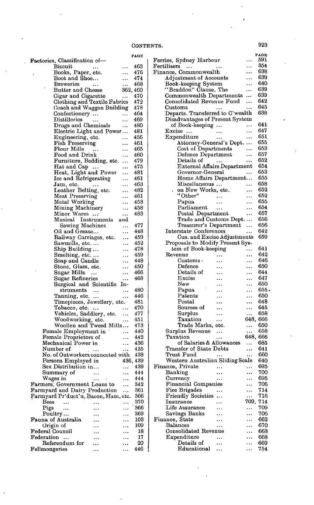|                                                                       |               |           | PAGE |
|-----------------------------------------------------------------------|---------------|-----------|------|
| Factories, Classification of-                                         |               |           |      |
| <b>Biscuit</b>                                                        |               | .         | 463  |
| Books, Paper, etc.                                                    |               |           | 476  |
| Boot and Shoe                                                         |               |           | 474  |
| <b>Breweries</b>                                                      |               | .         | 468  |
| Butter and Cheese                                                     |               | 362, 460  |      |
|                                                                       |               |           |      |
| Cigar and Cigarette                                                   |               |           | 470  |
| Clothing and Textile Fabrics                                          |               |           | 472  |
| Coach and Waggon Building                                             |               |           | 478  |
| Confectionery                                                         |               |           | 464  |
| Distilleries                                                          |               | .         | 469  |
| Drugs and Chemicals                                                   |               |           | 480  |
|                                                                       |               |           |      |
| Electric Light and Power                                              |               |           | 481  |
| Engineering, etc.                                                     |               | .         | 456  |
| Fish Preserving                                                       |               |           | 461  |
| Flour Mills                                                           |               | .         | 465  |
| Food and Drink                                                        |               | .         | 460  |
| Furniture, Bedding, etc.                                              |               |           | 479  |
|                                                                       |               |           |      |
| Hat and Cap                                                           |               |           | 475  |
| Heat, Light and Power                                                 |               |           | 481  |
| Ice and Refrigerating                                                 |               |           | 461  |
| Jam, etc.                                                             | $\ddotsc$     |           | 463  |
| Leather Belting, etc.                                                 |               |           | 482  |
|                                                                       |               |           |      |
| Meat Preserving                                                       |               |           | 461  |
| Metal Working                                                         |               |           | 453  |
| Mining Machinery                                                      |               | .         | 458  |
| Minor Wares                                                           |               | .         | 483  |
| Musical Instruments                                                   |               | and       |      |
|                                                                       |               |           |      |
| Sewing Machines                                                       |               | .         | 477  |
| Oil and Grease                                                        |               | .         | 448  |
| Railway Carriages, etc.                                               |               | .         | 459  |
| Sawmills, etc.                                                        |               | .         | 452  |
|                                                                       |               |           | 478  |
| Ship Building                                                         |               | .         |      |
| Smelting, etc.                                                        |               | .         | 459  |
| Soap and Candle                                                       |               |           | 448  |
| Stone, Glass, etc.                                                    |               |           | 450  |
| Sugar Mills                                                           |               |           | 466  |
|                                                                       |               |           | 468  |
| Sugar Refineries                                                      |               |           |      |
| Surgical and Scientific                                               |               | In-       |      |
| struments                                                             | $\ddotsc$     | .         | 480  |
| Tanning, etc.                                                         |               | .         | 446  |
| Timepieces, Jewellery, etc.                                           |               |           | 481  |
| Tobacco, etc.                                                         |               |           | 470  |
|                                                                       |               | .         |      |
| Vehicles, Saddlery, etc.                                              |               |           | 477  |
| Woodworking, etc.                                                     |               |           | 451  |
| Woollen and Tweed Mills                                               |               |           | 473  |
| Female Employment in                                                  |               | .         | 440  |
| Female Proprietors of                                                 |               | .         | 442  |
|                                                                       |               |           |      |
| Mechanical Power in                                                   |               |           | 436  |
| Number of                                                             | $\sim$ $\sim$ |           | 435  |
| No. of Outworkers connected with                                      |               |           | 438  |
| Persons Employed in                                                   |               | 436,      | 439  |
| Sex Distribution in                                                   |               |           | 439  |
|                                                                       |               |           |      |
| Summary of                                                            | .             | .         | 444  |
| Wages in                                                              | $\ldots$      | $\ddotsc$ | 444  |
| Farmers, Government Loans to                                          |               | $\ddotsc$ | 342  |
|                                                                       |               |           | 361  |
| Farmyard and Dairy Production<br>Farmyard Pr'duct'n, Bacon, Ham, etc. |               |           | 366  |
| Bees                                                                  |               |           | 370  |
|                                                                       |               |           |      |
| Pigs<br>                                                              |               | .         | 366  |
| Poultry                                                               |               | .         | 369  |
| Fauna of Australia                                                    |               | .         | 103  |
| Origin of                                                             |               |           | 109  |
|                                                                       |               |           |      |
| Federal Council                                                       |               |           | 18   |
| Federation<br>$\ddotsc$                                               |               |           | 17   |
| Referendum for                                                        |               |           | 20   |
| Fellmongeries                                                         |               | .         | 446  |
|                                                                       |               |           |      |

|                                                 |                      | PAGE       |
|-------------------------------------------------|----------------------|------------|
| Ferries, Sydney Harbour                         |                      | 591        |
| Fertilisers<br>$\ddots$                         |                      | 354        |
| Finance, Commonwealth                           | .                    | 638        |
| Adjustment of Accounts                          | .                    | 639<br>640 |
| Book-keeping System                             |                      | 639        |
| "Braddon" Clause, The                           |                      | 639        |
| Commonwealth Departments                        | .                    | 642        |
| Consolidated Revenue Fund<br>Customs            |                      | 645        |
| Departs. Transferred to C'wealth                |                      | 638        |
| Disadvantages of Present System                 |                      |            |
| of Book-keeping                                 |                      | 641        |
| Excise<br>                                      | .                    | 647        |
| Expenditure<br>                                 |                      | 651        |
| Attorney-General's Dept.                        | $\cdots$             | 655        |
| Cost of Departments                             | .                    | 653        |
| Defence Department                              |                      | 657        |
| Details of<br>$\sim$ 100 $\pm$                  |                      | 652        |
| <b>External Affairs Department</b>              |                      | 654        |
| Governor-General                                |                      | 653        |
| Home Affairs Department                         |                      | 655        |
| Miscellaneous                                   |                      | 658        |
| on New Works, etc.                              |                      | 652        |
| "Other"                                         |                      | 652        |
| Papua<br>                                       | .                    | 655        |
| Parliament<br>$\ddotsc$                         |                      | 654        |
| Postal Department                               |                      | 657        |
| Trade and Customs Dept.                         |                      | 656        |
| Treasurer's Department                          |                      | 656        |
| Interstate Conferences                          | .                    | 642        |
| Cus. and Excise Adjustments                     |                      | 659        |
| Proposals to Modify Present Sys-                |                      |            |
| tem of Book-keeping<br>Revenue                  |                      | 641<br>642 |
| $\rm Customs \cdot$                             |                      | 646        |
| .<br>$\rm{Defence}$                             |                      | 650        |
| Details of                                      | <br>.                | 644        |
| Excise<br>.                                     |                      | 647        |
| New                                             |                      | 650        |
| Papua                                           |                      | 655.       |
| $\rm {Patents}$<br>.                            |                      | 650        |
| $\rm{Postal}$                                   |                      | 648        |
| Sources of<br>                                  |                      | 645        |
| Surplus<br>                                     |                      | 658        |
| Taxation<br>                                    | 648,                 | 666        |
| Trade Marks, etc.                               | .                    | 650        |
| Surplus Revenue<br>$\cdots$                     |                      | 658        |
| Taxation<br>                                    | 648, 666             |            |
| of Salaries & Allowances                        |                      | 685        |
| Transfer of State Debts                         |                      | 641        |
| Trust Fund                                      |                      | 660        |
| Western Australian Sliding Scale                |                      | 640        |
| Finance, Private                                | .                    | 695        |
| Banking                                         | .                    | 700        |
| Currency<br>Financial Companies                 |                      | 695        |
|                                                 |                      | 706<br>714 |
| Fire Brigades<br><b>Friendly Societies</b><br>. |                      | 716        |
| Insurance                                       | <br>709.             | 714        |
| Life Assurance                                  |                      | 709        |
| Savings Banks                                   |                      | 706        |
| Finance, State<br>.                             |                      | 662        |
| <b>Balances</b><br>                             |                      | 670        |
| Consolidated Revenue                            | $\ddot{\phantom{0}}$ | 663        |
| Expenditure<br>.                                | .                    | 668        |
| Details of<br>                                  |                      | 669        |
| Educational                                     | .                    | 754        |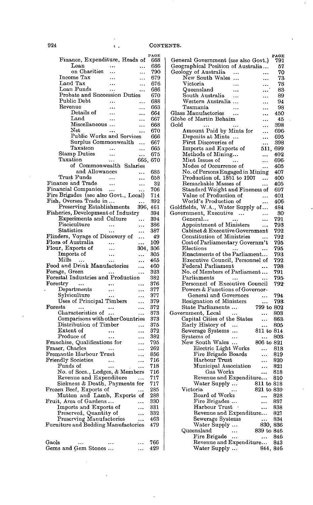l.

## 924  $\qquad \qquad$   $\qquad \qquad$   $\qquad \qquad$  CONTENTS.

| Finance, Expenditure, Heads of             |           |                      | PAGE<br>668 |
|--------------------------------------------|-----------|----------------------|-------------|
| Loan                                       |           |                      | 686         |
| on Charities                               |           |                      | 790         |
| Income Tax                                 |           |                      | 679         |
| Land Tax                                   |           |                      | 676         |
| Loan Funds                                 | .         | $\ddot{\phantom{0}}$ | 686         |
| Probate and Succession Duties              |           |                      | 670         |
| Public Debt                                |           |                      | 688         |
| Revenue                                    | .         | .                    | 663         |
| Details of                                 | .         |                      | 664         |
| $\rm Land$                                 |           |                      | 667         |
| Miscellaneous                              |           | .                    | 668         |
| Net                                        |           |                      | 670         |
| Public Works and Services                  |           |                      | 666         |
| Surplus Commonwealth                       |           |                      | 667         |
| Taxatıon                                   | $\ddotsc$ |                      | 665         |
| Stamp Duties<br>Taxation                   |           |                      | 675         |
|                                            | $\cdots$  | 665,                 | 670         |
| of Commonwealth Salaries<br>and Allowances |           |                      | 685         |
| Trust Funds                                |           |                      | 658         |
| Finance and Trade                          | $\ddotsc$ | .                    | 32          |
| Financial Companies                        |           |                      | 706         |
| Fire Brigades (see also Govt., Local)      |           |                      | 714         |
| Fish, Oversea Trade in                     |           |                      | 392         |
| Preserving Establishments                  |           | <br>396.             | 461         |
| Fisheries, Development of Industry         |           |                      | 394         |
| Experiments and Culture                    |           | $\ddotsc$            | 394         |
| Pisciculture                               |           |                      | 386         |
| $\rm Statistics$                           |           |                      | 387         |
| Flinders, Voyage of Discovery of           |           |                      | 49          |
| Flora of Australia                         | $\ddotsc$ |                      | 109         |
| Flour, Exports of                          |           | 304,                 | 306         |
| Imports of                                 |           |                      | 305         |
| Mills<br>$\ddotsc$                         |           |                      | 465         |
| Food and Drink Manufactories               |           |                      | 460         |
| Forage, Green                              |           |                      | 323         |
| Forestal Industries and Production         |           |                      | 382         |
| $\rm{Forestry}$<br>$\cdots$                |           |                      | 376         |
| Departments                                |           |                      | 377         |
| Sylviculture                               |           | $\ddotsc$            | 377         |
| Uses of Principal Timbers                  |           |                      | 379         |
| Forests<br>.                               |           | .                    | 372         |
| Characteristics of                         |           |                      | 373         |
| Comparisons with other Countries           |           |                      | 373         |
| Distribution of Timber                     |           |                      | 375         |
| $\scriptstyle\rm Extent~of$                |           |                      | 372         |
| Produce of                                 |           |                      | 382         |
| Franchise, Qualifications for              |           | .                    | 795         |
| Fraser, Charles<br>Fremantle Harbour Trust |           | .                    | 262<br>856  |
| Friendly Societies                         | $\ddotsc$ |                      | 716         |
| Funds of                                   | $\ddotsc$ |                      | 718         |
| No. of Socs., Lodges, & Members            |           |                      | 716         |
| Revenue and Expenditure                    |           |                      | 717         |
| Sickness & Death, Payments for             |           |                      | 717         |
| Frozen Beef, Exports of                    |           |                      | 285         |
| Mutton and Lamb, Exports of                |           |                      | 288         |
| Fruit, Area of Gardens                     |           | .                    | 330         |
| Imports and Exports of                     |           |                      | 331         |
| Preserved, Quantity of                     |           |                      | 332         |
| Preserving Manufactories                   |           |                      | 463         |
| Furniture and Bedding Manufactories        |           |                      | 479         |
|                                            |           |                      |             |
|                                            |           |                      |             |
| Gaols                                      |           |                      | 766         |
| Gems and Gem Stones                        |           |                      | 429         |
|                                            |           |                      |             |

| General Government (see also Govt.)                                            | PAGE<br>791     |
|--------------------------------------------------------------------------------|-----------------|
| Geographical Position of Australia                                             | 57              |
| Geology of Australia                                                           | 70              |
| New South Wales<br>                                                            | 73.             |
| Victoria                                                                       | 78<br>83.       |
| Queensland<br><br>South Australia<br>                                          | 89              |
| Western Australia<br>.                                                         | 94              |
| Tasmania<br>                                                                   | 98              |
| Glass Manufactories<br>.                                                       | 450             |
| Globe of Martin Behaim<br>.<br>Gold                                            | 45<br>398       |
| .<br>Amount Paid by Mints for                                                  | 696.            |
| Deposits at Mints<br>                                                          | 695             |
| First Discoveries of<br>                                                       | 398             |
| Imports and Exports of<br>511,                                                 | 699.            |
| Methods of Mining<br><br>Mint Issues of                                        | 402<br>696.     |
| $\cdots$<br><br>Modes of Occurrence of<br>                                     | 405             |
| No. of Persons Engaged in Mining                                               | 407             |
| Production of, 1851 to 1907<br>                                                | 400·            |
| Remarkable Masses of                                                           | 405             |
| Standard Weight and Fineness of                                                | 697             |
| Value of Production of<br><br>World's Production of                            | 401<br>406.     |
| Goldfields, W.A., Water Supply of                                              | 484             |
| Government, Executive<br>$\ddotsc$<br>.                                        | 30 <sup>1</sup> |
| General<br>                                                                    | 791             |
| Appointment of Ministers<br>                                                   | 793             |
| ${\rm Cabinet \,\&\, Executive\,\rm Government}$<br>Constitution of Ministries | 792<br>792      |
| Cost of Parliamentary Governm't                                                | 795             |
| Elections<br>                                                                  | 795             |
| Enactments of the Parliament                                                   | 793             |
| Executive Council, Personnel of                                                | 792.            |
| Federal Parliament<br>No. of Members of Parliament                             | 798.<br>791     |
| Parliaments<br>$\sim$                                                          | 795.            |
| Personnel of Executive Council                                                 | 792.            |
| Powers & Functions of Governor-                                                |                 |
| General and Governors<br>                                                      | 794             |
| Resignation of Ministers<br><br>State Parliaments<br>799 to 802                | 793.            |
| Government, Local<br>                                                          | 803             |
| Capital Cities of the States                                                   | 863.            |
| Early History of<br>$\ddotsc$<br>                                              | 805             |
| 811 to 814<br>Sewerage Systems<br>                                             |                 |
| Systems of<br>$\ldots$<br>New South Wales<br>806 to 821                        | 803             |
| Electric Light Works                                                           | 818             |
| Fire Brigade Boards                                                            | 819             |
| Harbour Trust<br>.                                                             | 820             |
| Municipal Association<br>                                                      | 821             |
| Gas Works<br><br>Revenue and Expenditure                                       | 818<br>810      |
| Water Supply  811 to 818                                                       |                 |
| Victoria<br>821 to 839 <sup>.</sup>                                            |                 |
| Board of Works<br>                                                             | 828             |
| Fire Brigades<br>                                                              | 837             |
| Harbour Trust<br>$\ddot{\phantom{0}}$<br>Revenue and Expenditure               | 838<br>827      |
| Sewerage Systems<br>.                                                          | 834             |
| Water Supply                                                                   | 830, 836        |
| Queensland<br>839 to 846                                                       |                 |
| Fire Brigade<br>$\ddotsc$<br>                                                  | 846             |
| Revenue and Expenditure                                                        | 843             |
| Water Supply                                                                   | 844, 846        |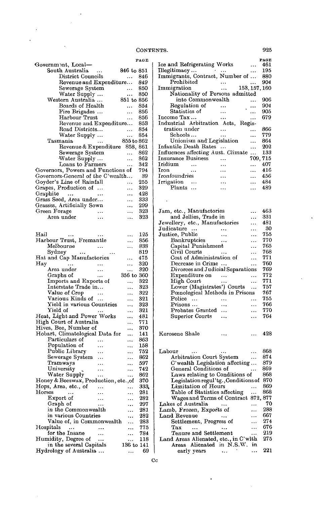|                                                |           |            | PAGE |
|------------------------------------------------|-----------|------------|------|
| Government, Local-                             |           |            |      |
| South Australia                                | $\cdots$  | 846 to 851 |      |
| District Councils                              |           |            | 846  |
| Revenue and Expenditure                        |           |            | 849  |
| Sewerage System                                |           | $\ddotsc$  | 850  |
| Water Supply                                   |           |            | 850  |
| Western Australia                              |           | 851 to 856 |      |
| Boards of Health                               |           |            | 854  |
| Fire Brigades                                  |           |            | 856  |
| Harbour Trust                                  |           | .          | 856  |
| Revenue and Expenditure                        |           |            | 853  |
| Road Districts                                 |           | .          | 854  |
| Water Supply                                   |           | .          | 854  |
| Tasmania                                       |           | 855 to 862 |      |
| Revenue & Expenditure 858, 861                 |           |            |      |
| Sewerage System                                |           | $\ddotsc$  | 862  |
| Water Supply                                   |           | $\ldots$   | 862  |
| Loans to Farmers                               |           | .          | 342  |
| Governors, Powers and Functions of             |           |            | 794  |
| Governors-General of the C'wealth              |           |            | 39   |
| Goyder's Line of Rainfall                      |           | .          | 255  |
| Grapes, Production of                          |           |            | 329  |
| Graphite                                       |           |            | 428  |
| $\sim$ 100 $\pm$<br>Grass Seed, Area under     |           |            | 333  |
| Grasses, Artificially Sown                     |           |            | 299  |
|                                                |           |            |      |
| Green Forage                                   |           | ٠.,        | 323  |
| Area under                                     | .         |            | 323  |
|                                                |           |            |      |
|                                                |           |            |      |
| Hail<br>$\ddotsc$                              |           | .          | 125  |
| Harbour Trust, Fremantle                       |           |            | 856  |
| Melbourne                                      |           | .          | 838  |
| Sydney                                         |           |            | 819  |
| Hat and Cap Manufactories                      |           | .          | 475  |
| Hay                                            |           |            | 320  |
| Area under                                     | $\ddotsc$ |            | 320  |
| Graphs of                                      | $\ddotsc$ | 356 to 360 |      |
| Imports and Exports of                         |           | .          | 322  |
| Interstate Trade in                            |           |            | 323  |
| Value of Crop                                  |           |            | 322  |
| Various Kinds of                               |           | .          | 321  |
| Yield in various Countries                     |           | .          | 323  |
| Yield of                                       |           |            | 321  |
| Heat, Light and Power Works                    |           |            | 481  |
| High Court of Australia                        |           |            | 771  |
| Hives, Bee, Number of                          |           |            | 370  |
| Hobart, Climatological Data for                |           |            | 141  |
| Particulars of                                 |           |            | 863  |
| Population of                                  | $\ddotsc$ |            | 158  |
| Public Library                                 |           |            | 752  |
| Sewerage System                                |           |            | 862  |
| Tramways                                       |           |            | 597  |
| University                                     |           |            | 742  |
| Water Supply                                   |           |            | 862  |
| Honey & Beeswax, Production, etc., of          |           |            | 370  |
| Hops, Area, etc., of                           |           |            | 333  |
| Horses                                         |           |            | 281  |
| Export of                                      |           | ۰.,        | 282  |
| Graph of                                       |           | ٠.,        | 297  |
| in the Commonwealth                            |           |            | 281  |
| in various Countries                           |           |            | 282  |
| Value of, in Commonwealth                      |           |            | 283  |
| Hospitals<br>$\ddots$                          |           |            | 775  |
| for the Insane                                 | .         |            | 784  |
|                                                |           |            | 118  |
| Humidity, Degree of<br>in the several Capitals |           | 136 to 141 |      |
| Hydrology of Australia                         |           |            | 69   |
|                                                |           |            |      |

 $\overline{a}$ 

 $\ddot{\phantom{a}}$  $\ddot{\phantom{a}}$ 

|                                                                        |                     |               | <b>PAGE</b> |
|------------------------------------------------------------------------|---------------------|---------------|-------------|
| Ice and Refrigerating Works                                            |                     |               | 461         |
| $\Xi$ Illegitimacy                                                     | $\ldots$            |               | 195         |
| Immigrants, Contract, Number of                                        |                     |               | 880         |
| Prohibited                                                             | $\cdots$            | .             | 904         |
| Immigration                                                            | $\ldots$            | 153, 157, 160 |             |
| Nationality of Persons admitted                                        |                     |               |             |
| into Commonwealth                                                      |                     |               | 906         |
| Regulation of                                                          |                     |               | 904         |
| Statistics of<br>Income Tax                                            | .                   | .             | 905<br>679  |
| Industrial Arbitration Acts,                                           | $\ddotsc$<br>Regis- |               |             |
| tration under                                                          | .                   |               | 866         |
| Schools                                                                |                     | .             | 779         |
| Unionism and Legislation                                               |                     |               | 864         |
| Infantile Death Rates                                                  |                     |               | 202         |
| Influences affecting Aust. Climate                                     |                     | .             | 133         |
| <b>Insurance Business</b>                                              |                     | 709, 715      |             |
| Iridium<br>$\ddotsc$                                                   |                     |               | 407         |
| Iron<br>$\ddotsc$                                                      | .                   | .             | 416         |
| Ironfoundries                                                          |                     |               | 456         |
| Irrigation                                                             |                     | .             | 484         |
| Plants<br>$\ddotsc$                                                    |                     |               | 489         |
|                                                                        |                     |               |             |
|                                                                        |                     |               |             |
| Jam, etc., Manufactories                                               |                     |               | 463         |
|                                                                        |                     | <br>.         | 331         |
| and Jellies, Trade in<br>Jewellery, etc., Manufactories                |                     | $\ddotsc$     | 481         |
| Judicature                                                             |                     |               | 30          |
| Justice, Public                                                        |                     | .             | 755         |
| Bankruptcies                                                           | $\ddots$            | .             | 770         |
| Capital Punishment                                                     |                     |               | 765         |
| Civil Courts                                                           |                     | $\cdots$      | 768         |
| Cost of Administration of                                              |                     |               | 771         |
| Decrease in Crime                                                      |                     |               | 760         |
| Divorces and Judicial Separations                                      |                     |               | 769         |
| Expenditure on                                                         |                     |               | 772         |
| High Court                                                             |                     |               | 771         |
| Lower (Magistrates') Courts                                            |                     |               | 757         |
| Pœnological Methods in Prisons                                         |                     |               | 767         |
| Police<br>$\ldots$<br>Prisons                                          | $\ddotsc$           | .             | 755<br>766  |
| Probates Granted                                                       | $\ddotsc$           | $\ddotsc$     | 770         |
| Superior Courts                                                        |                     | <br>          | 764         |
|                                                                        |                     |               |             |
|                                                                        |                     |               |             |
| Kerosene Shale                                                         |                     |               | 428         |
|                                                                        |                     |               |             |
|                                                                        |                     |               |             |
| Labour                                                                 |                     |               | 868         |
| Arbitration Court System                                               |                     |               | 874         |
| C'wealth Legislation affecting                                         |                     |               | 879         |
| General Conditions of                                                  |                     | $\ldots$      | 869<br>868  |
| Laws relating to Conditions of<br>Legislation regul'tg., Conditions of |                     |               | 870         |
| Limitation of Hours                                                    |                     |               | 869         |
| Table of Statistics affecting                                          |                     | <br>          | 868         |
| Wages and Terms of Contract 872, 877                                   |                     |               |             |
| Lakes of Australia                                                     | $\cdots$            |               | 70          |
| Lamb, Frozen, Exports of                                               |                     |               | 288         |
| Land Revenue                                                           |                     | .             | 667         |
| Settlement, Progress of                                                |                     | .             | 274         |
| $_{\rm Tax}$<br>                                                       |                     | .             | 676         |
| Tenure and Settlement                                                  |                     |               | 219         |
| Land Areas Alienated, etc., in C'wlth                                  |                     |               | 275         |
| Areas Alienated in N.S.W.                                              |                     | in            |             |
| early years                                                            | ٠.,                 | .             | 221         |

 $\ddot{\phantom{0}}$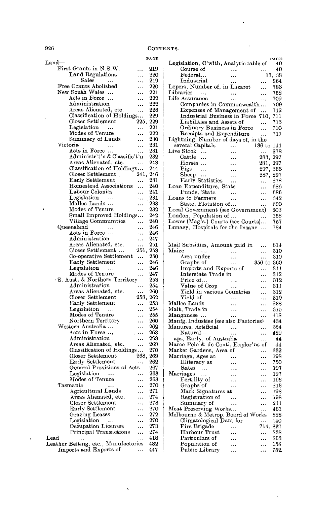| Land                                 |           | PAGE          |
|--------------------------------------|-----------|---------------|
| First Grants in N.S.W.               |           | 219           |
| Land Regulations                     |           | 220           |
| Sales                                |           | 219           |
| Free Grants Abolished                | .         | 220           |
| New South Wales                      |           | 221           |
| Acts in Force                        |           | 222           |
| Administration                       |           | 222           |
| Areas Alienated, etc.                |           | 228           |
| Classification of Holdings           |           | 229           |
| Closer Settlement                    | 225,      | 229           |
| Legislation<br>$\sim$                | .         | 221           |
| Modes of Tenure                      | .         | 222           |
| Summary of Lands                     |           | 230           |
| Victoria                             |           | 231           |
| Acts in Force                        |           | 231           |
| Administr't'n & Classific't'n        |           | 232           |
| Areas Alienated, etc.                | .         | 243           |
| Classification of Holdings           |           | 244           |
| Closer Settlement<br>$\mathcal{L}$   | 241, 246  |               |
| Early Settlement                     | .         | 231           |
| Homestead Associations               | .         | 240           |
| Labour Colonies                      |           | 241           |
| Legislation<br>$\sim$ $\sim$ $\sim$  |           | 231           |
| Mallee Lands                         | $\cdots$  | 238           |
| Modes of Tenure                      |           | 232           |
| Small Improved Holdings              |           | 242           |
| Village Communities                  | .         | 240           |
| Queensland<br>$\ddotsc$              | .         | 246           |
| Acts in Force                        | .         | 246           |
| Administration                       | .         | 247           |
| Areas Alienated, etc.                | .         | 251           |
| Closer Settlement                    | 251,      | 253           |
| Co-operative Settlement              |           | 250           |
| Early Settlement                     | $\ddotsc$ | 246           |
| Legislation<br>$\sim$ 100 $\sim$     | .         | 246           |
| Modes of Tenure                      |           | 247           |
| S. Aust. & Northern Territory        |           | $253^{\circ}$ |
| Administration                       |           | 254           |
| Areas Alienated, etc.                |           | 260           |
| Closer Settlement                    | 258,      | 262           |
| Early Settlement                     |           | 253           |
| Legislation<br>$\sim 100$            |           | 254           |
| Modes of Tenure                      | .         | 255           |
| Northern Territory                   | .         | 260           |
| Western Australia                    |           | 262           |
| Acts in Force                        |           | 263           |
| Administration.                      |           | 263           |
| Areas Alienated, etc.                |           | 269           |
| Classification of Holdings           |           | 270           |
| Closer Settlement                    | 268,      | 269           |
| Early Settlement                     |           | 262           |
| General Provisions of Acts           |           | 267           |
| Legislation<br>$\sim$ $\sim$ $\sim$  |           | 263           |
| Modes of Tenure                      | .         | 263           |
| Tasmania<br>,                        |           | 270           |
| Agricultural Lands                   | .         | 271           |
| Areas Alienated, etc.                |           | 274           |
| Closer Settlement                    | .         | 273           |
| Early Settlement                     | .         | 270           |
| Grazing Leases                       | .         | 272           |
| Legislation<br>                      |           | 270           |
| Occupation Licenses                  | .         | 273           |
| Principal Transactions               | .         | 274           |
| $_{\rm {Lead}}$                      |           | 418           |
| Leather Belting, etc., Manufactories |           | 482           |
| Imports and Exports of               |           | 447           |

 $\overline{\phantom{0}}$ 

| Legislation, C'wlth, Analytic table of<br>40<br>Course of<br>40<br><b>Contractor</b><br>Federal<br>$\sim$ $\sim$<br>17,38<br>Industrial<br>864<br>$\ddots$<br>$\ddotsc$<br>Lepers, Number of, in Lazaret<br>783<br>Libraries<br>752<br><b>Contractor</b><br>$\ddotsc$<br>Life Assurance<br>709<br>.<br>Companies in Commonwealth<br>709<br>Expenses of Management of<br>712<br>$\cdots$<br>Industrial Business in Force 710,<br>711<br>Liabilities and Assets of<br>713<br>$\ddotsc$<br>Ordinary Business in Force<br>710<br>$\ddotsc$<br>Receipts and Expenditure<br>711<br>$\ddotsc$<br>Lightning, Number of days of, in the<br>several Capitals<br>136 to 141<br>$\sim$ $\sim$<br>Live Stock<br>278<br>Cattle<br>283,<br>297<br>$\cdots$<br>Horses<br>281.<br>297<br>$\ddotsc$<br>$Pigs \dots$<br>297,<br>366<br>$\ddotsc$<br>Sheep<br>287,<br>297<br>$\ddotsc$<br>Early Statistics<br>278<br>$\ddotsc$<br>$\mathbf{1}$<br>Loan Expenditure, State<br>686<br>$\ddotsc$<br>Funds, State<br>686<br>$\sim$ $\sim$ $\sim$<br>$\ddotsc$<br>Loans to Farmers<br>342<br>$\ddotsc$<br><br>State, Flotation of<br>690<br>$\ddotsc$<br>Local Government (see Government)<br>803<br>London, Population of<br>158<br>.<br>Lower (Mag's.) Courts (see Courts)<br>757 |  | PAGE |
|------------------------------------------------------------------------------------------------------------------------------------------------------------------------------------------------------------------------------------------------------------------------------------------------------------------------------------------------------------------------------------------------------------------------------------------------------------------------------------------------------------------------------------------------------------------------------------------------------------------------------------------------------------------------------------------------------------------------------------------------------------------------------------------------------------------------------------------------------------------------------------------------------------------------------------------------------------------------------------------------------------------------------------------------------------------------------------------------------------------------------------------------------------------------------------------------------------------------------------------------------------|--|------|
|                                                                                                                                                                                                                                                                                                                                                                                                                                                                                                                                                                                                                                                                                                                                                                                                                                                                                                                                                                                                                                                                                                                                                                                                                                                            |  |      |
|                                                                                                                                                                                                                                                                                                                                                                                                                                                                                                                                                                                                                                                                                                                                                                                                                                                                                                                                                                                                                                                                                                                                                                                                                                                            |  |      |
|                                                                                                                                                                                                                                                                                                                                                                                                                                                                                                                                                                                                                                                                                                                                                                                                                                                                                                                                                                                                                                                                                                                                                                                                                                                            |  |      |
|                                                                                                                                                                                                                                                                                                                                                                                                                                                                                                                                                                                                                                                                                                                                                                                                                                                                                                                                                                                                                                                                                                                                                                                                                                                            |  |      |
|                                                                                                                                                                                                                                                                                                                                                                                                                                                                                                                                                                                                                                                                                                                                                                                                                                                                                                                                                                                                                                                                                                                                                                                                                                                            |  |      |
|                                                                                                                                                                                                                                                                                                                                                                                                                                                                                                                                                                                                                                                                                                                                                                                                                                                                                                                                                                                                                                                                                                                                                                                                                                                            |  |      |
|                                                                                                                                                                                                                                                                                                                                                                                                                                                                                                                                                                                                                                                                                                                                                                                                                                                                                                                                                                                                                                                                                                                                                                                                                                                            |  |      |
|                                                                                                                                                                                                                                                                                                                                                                                                                                                                                                                                                                                                                                                                                                                                                                                                                                                                                                                                                                                                                                                                                                                                                                                                                                                            |  |      |
|                                                                                                                                                                                                                                                                                                                                                                                                                                                                                                                                                                                                                                                                                                                                                                                                                                                                                                                                                                                                                                                                                                                                                                                                                                                            |  |      |
|                                                                                                                                                                                                                                                                                                                                                                                                                                                                                                                                                                                                                                                                                                                                                                                                                                                                                                                                                                                                                                                                                                                                                                                                                                                            |  |      |
|                                                                                                                                                                                                                                                                                                                                                                                                                                                                                                                                                                                                                                                                                                                                                                                                                                                                                                                                                                                                                                                                                                                                                                                                                                                            |  |      |
|                                                                                                                                                                                                                                                                                                                                                                                                                                                                                                                                                                                                                                                                                                                                                                                                                                                                                                                                                                                                                                                                                                                                                                                                                                                            |  |      |
|                                                                                                                                                                                                                                                                                                                                                                                                                                                                                                                                                                                                                                                                                                                                                                                                                                                                                                                                                                                                                                                                                                                                                                                                                                                            |  |      |
|                                                                                                                                                                                                                                                                                                                                                                                                                                                                                                                                                                                                                                                                                                                                                                                                                                                                                                                                                                                                                                                                                                                                                                                                                                                            |  |      |
|                                                                                                                                                                                                                                                                                                                                                                                                                                                                                                                                                                                                                                                                                                                                                                                                                                                                                                                                                                                                                                                                                                                                                                                                                                                            |  |      |
|                                                                                                                                                                                                                                                                                                                                                                                                                                                                                                                                                                                                                                                                                                                                                                                                                                                                                                                                                                                                                                                                                                                                                                                                                                                            |  |      |
|                                                                                                                                                                                                                                                                                                                                                                                                                                                                                                                                                                                                                                                                                                                                                                                                                                                                                                                                                                                                                                                                                                                                                                                                                                                            |  |      |
|                                                                                                                                                                                                                                                                                                                                                                                                                                                                                                                                                                                                                                                                                                                                                                                                                                                                                                                                                                                                                                                                                                                                                                                                                                                            |  |      |
|                                                                                                                                                                                                                                                                                                                                                                                                                                                                                                                                                                                                                                                                                                                                                                                                                                                                                                                                                                                                                                                                                                                                                                                                                                                            |  |      |
|                                                                                                                                                                                                                                                                                                                                                                                                                                                                                                                                                                                                                                                                                                                                                                                                                                                                                                                                                                                                                                                                                                                                                                                                                                                            |  |      |
|                                                                                                                                                                                                                                                                                                                                                                                                                                                                                                                                                                                                                                                                                                                                                                                                                                                                                                                                                                                                                                                                                                                                                                                                                                                            |  |      |
|                                                                                                                                                                                                                                                                                                                                                                                                                                                                                                                                                                                                                                                                                                                                                                                                                                                                                                                                                                                                                                                                                                                                                                                                                                                            |  |      |
|                                                                                                                                                                                                                                                                                                                                                                                                                                                                                                                                                                                                                                                                                                                                                                                                                                                                                                                                                                                                                                                                                                                                                                                                                                                            |  |      |
|                                                                                                                                                                                                                                                                                                                                                                                                                                                                                                                                                                                                                                                                                                                                                                                                                                                                                                                                                                                                                                                                                                                                                                                                                                                            |  |      |
|                                                                                                                                                                                                                                                                                                                                                                                                                                                                                                                                                                                                                                                                                                                                                                                                                                                                                                                                                                                                                                                                                                                                                                                                                                                            |  |      |
|                                                                                                                                                                                                                                                                                                                                                                                                                                                                                                                                                                                                                                                                                                                                                                                                                                                                                                                                                                                                                                                                                                                                                                                                                                                            |  |      |
|                                                                                                                                                                                                                                                                                                                                                                                                                                                                                                                                                                                                                                                                                                                                                                                                                                                                                                                                                                                                                                                                                                                                                                                                                                                            |  |      |
|                                                                                                                                                                                                                                                                                                                                                                                                                                                                                                                                                                                                                                                                                                                                                                                                                                                                                                                                                                                                                                                                                                                                                                                                                                                            |  |      |
|                                                                                                                                                                                                                                                                                                                                                                                                                                                                                                                                                                                                                                                                                                                                                                                                                                                                                                                                                                                                                                                                                                                                                                                                                                                            |  |      |
| Lunacy, Hospitals for the Insane                                                                                                                                                                                                                                                                                                                                                                                                                                                                                                                                                                                                                                                                                                                                                                                                                                                                                                                                                                                                                                                                                                                                                                                                                           |  | 784  |

| 614                                       |
|-------------------------------------------|
| 310                                       |
| 310                                       |
| 356 to<br>360                             |
| 311                                       |
| 312                                       |
| $^{312}$                                  |
| 311                                       |
| 312                                       |
| 310                                       |
| 238<br>.                                  |
| 315<br>.                                  |
| 418                                       |
| 434                                       |
| 354                                       |
| 429                                       |
| 44                                        |
| Marco Polo & de Conti, Explor'ns of<br>44 |
| 332<br>.                                  |
| 198<br>.                                  |
| 750                                       |
| 197<br>$\ddotsc$                          |
| 197                                       |
| 198<br>$\ddotsc$                          |
| 213<br>$\ddotsc$                          |
| 198                                       |
| 198                                       |
| 211<br>.                                  |
| 461<br>.                                  |
| Melbourne & Metrop. Board of Works<br>828 |
| 140<br>$\cdots$                           |
| 714, 837                                  |
| 838                                       |
| 863                                       |
| 158<br>.                                  |
| 752<br>.                                  |
| Manfg. Industies (see also Factories)     |

 $\ddot{\phantom{a}}$ 

 $\cdot$ 

 $\ddot{\phantom{a}}$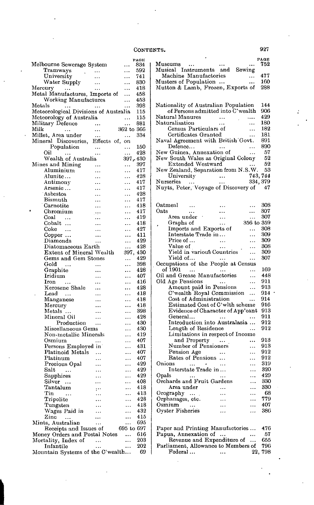|                                                                              |                        |                      | PAGE       |
|------------------------------------------------------------------------------|------------------------|----------------------|------------|
| Melbourne Sewerage System                                                    |                        |                      | 834        |
| Tramways<br>$\frac{1}{2}$ , $\frac{1}{2}$ , $\frac{1}{2}$                    |                        | .                    | 592        |
| University                                                                   |                        |                      | 741        |
| Water Supply                                                                 |                        | .                    | 830        |
| Mercury<br>$\ldots$                                                          |                        | .                    | 418        |
| Metal Manufactures, Imports of                                               |                        | .                    | 458        |
| Working Manufactures<br>Metals                                               |                        |                      | 453<br>398 |
| Meteorological Divisions of Australia                                        | $\ddotsc$              | $\ddotsc$            | 115        |
| Meteorology of Australia                                                     |                        |                      | 115        |
| Military Defence                                                             |                        |                      | 881        |
| Milk                                                                         | $\ddotsc$<br>$\ddotsc$ | .<br>362 to 366      |            |
| Millet, Area under<br>Millet, Area under<br>Mineral Discoveries, Effects of, |                        | $\cdots$             | 334        |
|                                                                              |                        | on                   |            |
| Population                                                                   | $\ddotsc$              | $\ddotsc$            | 150        |
| Oil                                                                          |                        | $\cdots$             | 428        |
| Wealth of Australia                                                          |                        | 397, 430             |            |
| Mines and Mining                                                             |                        |                      | 397        |
| Aluminium                                                                    |                        | .                    | 417        |
| Alunite                                                                      |                        | .                    | 428        |
| Antimony                                                                     |                        | .                    | 417        |
| Arsenic                                                                      |                        | .                    | 417        |
| Asbestos                                                                     |                        | .                    | 428        |
| Bismuth                                                                      |                        | .                    | 417        |
| Carnotite                                                                    | $\cdots$               |                      | 418        |
| Chromium                                                                     | $\cdots$               | .                    | 417        |
| Coal<br>$\ddotsc$                                                            | $\cdots$               | $\cdots$             | 419        |
| Cobalt                                                                       |                        | .                    | 418        |
| Coke<br>$\ddotsc$                                                            | .                      | .                    | 427        |
| Copper                                                                       | $\ddotsc$              |                      | 411        |
| Diamonds                                                                     | .                      |                      | 429        |
| Diatomaceous Earth                                                           |                        |                      | 428        |
| Extent of Mineral Wealth                                                     |                        | 397.                 | 430        |
| Gems and Gem Stones                                                          |                        | .                    | 429        |
| Gold<br>$\ddotsc$                                                            | $\ddotsc$              |                      | 398        |
| Graphite                                                                     | $\ddotsc$              | .                    | 428        |
| Iridium                                                                      |                        | .                    | 407        |
| Iron<br>$\sim$ 100 $\mu$                                                     |                        | .                    | 416        |
| Kerosene Shale                                                               |                        | $\cdots$             | 428        |
| $\rm Lead$<br>$\cdots$                                                       |                        | $\cdots$             | 418        |
| Manganese                                                                    |                        |                      | 418        |
| Mercury                                                                      |                        |                      | 418        |
| Metals                                                                       |                        | .                    | 398        |
| Mineral Oil                                                                  |                        | .                    | 428        |
| Production                                                                   |                        | .                    | 430        |
| Miscellaneous Gems                                                           |                        | .                    | 430        |
| Non-metallic Minerals                                                        |                        | .                    | 419        |
| Osmium<br>Persons Employed in                                                |                        | .                    | 407<br>431 |
| Platinoid Metals                                                             |                        | .                    | 407        |
| Platinum                                                                     |                        | .                    | 407        |
|                                                                              |                        |                      | 429        |
| Precious Opal<br>Salt                                                        |                        | .                    | 429        |
| Sapphires                                                                    |                        | .                    | 429        |
| Silver                                                                       |                        | .<br>.               | 408        |
| Tantalum                                                                     |                        |                      | 418        |
| Tin<br>                                                                      | :<br>                  |                      | 413        |
| Tripolite                                                                    |                        | $\ddot{\phantom{0}}$ | 428        |
| Tungsten                                                                     |                        | .                    | 418        |
| Wages Paid in                                                                |                        | $\ddot{\phantom{0}}$ | 432        |
| Zinc<br>$\sim$ $\sim$ $\sim$                                                 |                        |                      | 415        |
| Mints, Australian                                                            |                        | $\cdots$             | 695        |
| Receipts and Issues of                                                       |                        | 695 to 697           |            |
| Money Orders and Postal Notes                                                |                        |                      | 616        |
| Mortality, Index of                                                          | .                      | $\ddotsc$            | 203        |
| Infantile                                                                    |                        |                      | 202        |
| Mountain Systems of the C'wealth                                             |                        |                      | 69         |

 $\overline{1}$ 

|                                                            |               |                | PAGE       |
|------------------------------------------------------------|---------------|----------------|------------|
| Museums<br>Musical Instruments and Sewing                  |               |                | 752        |
|                                                            |               |                |            |
| Machine Manufactories                                      |               |                | 477        |
| Musters of Population<br>Mutton & Lamb, Frozen, Exports of |               |                | 160<br>288 |
|                                                            |               |                |            |
|                                                            |               |                |            |
| Nationality of Australian Population                       |               |                | 144        |
| of Persons admitted into C'wealth                          |               |                | 906        |
| Natural Manures                                            | $\ddotsc$     |                | 429        |
| Naturalisation                                             |               |                | 180        |
| Census Particulars of                                      |               |                | 182        |
| Certificates Granted<br>Naval Agreement with British Govt. |               |                | 181<br>891 |
| Defence                                                    |               |                | 890        |
| New Guinea, Annexation of                                  |               | .              | 57         |
| New South Wales as Original Colony                         |               |                | 52         |
| Extended Westward                                          |               |                | 52         |
| New Zealand, Separation from N.S.W.                        |               |                | 53         |
| University                                                 | $\ldots$      | 743, 744       |            |
| Nurseries                                                  |               | 334, 379       |            |
|                                                            |               |                | 47         |
|                                                            |               |                |            |
| Oatmeal                                                    |               | $\ddotsc$      | 30S        |
| Oats                                                       |               |                | 307        |
| Area under                                                 |               |                | 307        |
| Graphs of                                                  | .             | 356 to 359     |            |
| Imports and Exports of                                     |               | $\ddotsc$      | 308        |
| Interstate Trade in                                        |               | .              | 309        |
| Price of                                                   | $\ddotsc$     | .              | 309        |
| Value of<br>Yield in various Countries                     |               |                | 308<br>309 |
| Yield of                                                   | $\ddotsc$     | .<br>          | 307        |
| Occupations of the People at Census                        |               |                |            |
| of 1901<br>$\cdots$                                        |               | .              | 169        |
| Oil and Grease Manufactories                               |               | .              | 448        |
| Old Age Pensions                                           |               | .              | 911        |
| Amount paid in Pensions                                    |               | .              | 913        |
| C'wealth Royal Commission                                  |               | .              | 914        |
| Cost of Administration<br>Estimated Cost of C'wlth scheme  |               | .              | 914<br>916 |
| Evidence of Character of App'cant                          |               |                | 913        |
| General                                                    |               |                | 911        |
| Introduction into Australasia                              |               |                | 912        |
| Length of Residence                                        |               |                | 912        |
| Limitations in respect of Income                           |               |                |            |
| and Property                                               | $\sim$ $\sim$ |                | 913        |
| Number of Pensioners                                       |               | .              | 913        |
| Pension Age                                                |               |                | 912        |
| Rates of Pensions<br>Onions                                |               |                | 912        |
| Interstate Trade in                                        |               |                | 319<br>320 |
| Opals                                                      |               | $\ddotsc$<br>. | 429        |
| Orchards and Fruit Gardens                                 |               |                | 330        |
| Area under                                                 |               |                | 330        |
| Orography<br>$\ddotsc$                                     | .             | .              | 68         |
| Orphanages, etc.                                           |               |                | 779        |
| $O s$ mium<br>.                                            | .             | $\ddotsc$      | 407        |
| Oyster Fisheries                                           | .             | .              | 386        |
|                                                            |               |                |            |
| Paper and Printing Manufactories                           |               |                | 476        |
| Papua, Annexation of                                       | $\ddotsc$     |                | 57         |
| Revenue and Expenditure of                                 |               |                | 655        |
| Parliament, Allowance to Members of                        |               |                | 796        |
| $\rm Federal \dots$                                        | $\ddots$      | 22,            | 798        |

l,

Ź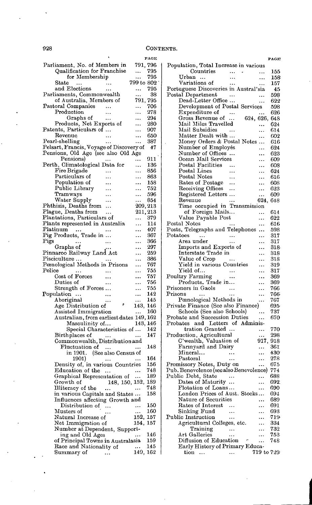|                                                            | PAGE                    |
|------------------------------------------------------------|-------------------------|
| Parliament, No. of Members in                              | 791, 796                |
| Qualification for Franchise                                | 795<br>                 |
| for Membership                                             | 795<br>                 |
| $_{\rm State}$<br>                                         | 799 to 802              |
| and Elections<br>.                                         | 795<br>                 |
| Parliaments, Commonwealth                                  | 38<br><br>791,          |
| of Australia, Members of<br>Pastoral Companies             | 795<br>706<br>          |
| Production<br>                                             | 278<br>                 |
| Graphs of<br>                                              | 294<br>                 |
| Products, Net Exports of                                   | 280<br>                 |
| Patents, Particulars of                                    | 907<br>                 |
| Revenue                                                    | 650<br>                 |
| Pearl-shelling                                             | 387<br>                 |
| Pelsart, Francis, Voyage of Discovery of                   | 47                      |
| Pensions, Old Age (see also Old Age                        |                         |
| Pensions)<br><br>Perth, Climatological Data for            | 911<br>$\ddotsc$<br>136 |
| Fire Brigade                                               | <br>856<br>.            |
| Particulars of<br>$\ddotsc$                                | 863<br>                 |
| Population of                                              | 158<br>                 |
| Public Library                                             | 752<br>.                |
| Tramways                                                   | 596<br>                 |
| Water Supply                                               | 854<br>                 |
| Phthisis, Deaths from<br>                                  | 209,213                 |
| Plague, Deaths from                                        | 211,213                 |
| Plantations, Particulars of                                | 379<br>                 |
| Plants represented in Australia<br>Platinum                | 114<br>.                |
| Pig Products, Trade in                                     | 407<br>.<br>367         |
| Pigs                                                       | <br>366<br>.            |
| Graphs of                                                  | 297<br>.                |
| Pinnaroo Railway Land Act                                  | 259<br>                 |
| Pisciculture                                               | 386<br>.                |
| Pœnological Methods in Prisons                             | 767<br>                 |
| $_{\rm Police}$                                            | 755<br>.                |
| Cost of Forces                                             | 757<br>.                |
| Duties of                                                  | 756<br>.                |
| Strength of Forces                                         | 755<br>.<br>142         |
| Population<br><br>Aboriginal                               | .<br>145<br>.           |
| <br>Age Distribution of                                    | ø<br>143,<br>146        |
| Assisted Immigration                                       | 160                     |
| Australian, from earliest dates 149, 162                   |                         |
| Masculinity of                                             | 143, 146                |
| Special Characteristics of                                 | 142                     |
| Birthplaces of<br>$\sim$ 100 $\mu$                         | 147                     |
| Commonwealth, Distribution and                             |                         |
| Fluctuation of<br>$\sim$ .<br>in 1901. (See also Census of | 148                     |
| 1901)                                                      | 164                     |
|                                                            | 156                     |
| Density of, in various Countries<br>Education of the       | 748                     |
| Graphical Representation of                                | 189                     |
| Growth of $148, 150, 152,$                                 | 189                     |
| Illiteracy of the<br>$\ddotsc$                             | 748                     |
| in various Capitals and States                             | 158                     |
| Influences affecting Growth and                            |                         |
| Distribution of<br>$\ddotsc$                               | 150                     |
| Musters of<br>Natural Increase of                          | 160<br><br>152,<br>157  |
| Net Immigration of                                         | 157<br>154.             |
| Number at Dependent, Support-                              |                         |
| ing and Old Ages                                           | 146<br>                 |
| of Principal Towns in Australasia                          | 159                     |
| Race and Nationality of                                    | 145<br>                 |
| Summary of<br>                                             | 149, 162                |

|                                                      |           |                | <b>PAGE</b> |
|------------------------------------------------------|-----------|----------------|-------------|
| Population, Total Increase in various                |           |                |             |
| Countries                                            | $\ldots$  |                | 155         |
| Urban                                                |           | .              | 158         |
| Variations of                                        |           |                | 157         |
| Portuguese Discoveries in Austral'sia                |           |                | 45          |
| Postal Department                                    |           |                | 598         |
| Dead-Letter Office                                   |           |                | 622         |
| Development of Postal Services                       |           |                | 598         |
| Expenditure of<br>Expenditure of<br>Gross Revenue of |           |                | 626         |
|                                                      |           | 624, 626,      | 648         |
| Mail Miles Travelled                                 |           |                | 624         |
| Mail Subsidies                                       |           | .              | 614         |
| Matter Dealt with                                    |           |                | 602         |
| Money Orders & Postal Notes                          |           |                | 616         |
| Number of Employés                                   |           | .              | 624         |
| Number of Offices                                    |           |                | 623         |
| Ocean Mail Services<br>Postal Facilities             |           |                | 609         |
| Postal Lines                                         |           |                | 608         |
| Postal Notes                                         |           | .              | 624         |
|                                                      |           |                | 616         |
| Rates of Postage<br>Receiving Offices                | $\ddotsc$ | .              | 608<br>623  |
|                                                      |           |                | 609         |
| Registered Letters<br>Revenue                        |           | <br>624,       | 648         |
| Time occupied in Transmission                        |           |                |             |
| of Foreign Mails                                     |           | .              | 614         |
| Value Payable Post                                   |           |                | 622         |
| Postal Notes                                         |           | .              | 616         |
| Posts, Telegraphs and Telephones                     |           |                | 598         |
| $\rm Potatoes$<br>$\sim$ 144                         |           | .              | 317         |
| Area under                                           |           |                | 317         |
| Imports and Exports of                               |           | <br>.          | 318         |
| Interstate Trade in                                  |           | .              | $^{318}$    |
| Value of Crop                                        |           | .              | 318         |
| Yield in various Countries                           |           |                | 319         |
| ${\bf Y}$ ield of $$                                 |           |                | 317         |
| Poultry Farming                                      |           | .              | 369         |
| Products, Trade in                                   |           | .              | 369         |
| Prisoners in Gaols                                   |           | .              | 766         |
| Prisons<br>$\ddotsc$                                 |           | .              | 766         |
| Pœnological Methods in                               |           |                | 767         |
| Private Finance (See also Finance)                   |           |                | 695         |
| Schools (See also Schools)                           |           |                | 737         |
| Probate and Succession Duties                        |           |                | 670         |
| Probates and Letters of Adminis-                     |           |                |             |
| tration Granted                                      |           |                | 770         |
| Production, Agricultural                             |           |                | 298         |
| C'wealth, Valuation of                               |           | 917,           | 918         |
| Farmyard and Dairy                                   |           |                | 361         |
| Mineral                                              |           | .              | 430         |
| $\rm Pastoral$                                       |           |                | $^{278}$    |
| Promissory Notes, Duty on                            |           |                | 675         |
| Pub. Benevolence (see also Benevolence)              |           |                | 774         |
| Public Debt, State                                   | $\ldots$  |                | 688         |
| Dates of Maturity                                    |           | .              | 692.        |
| Flotation of Loans                                   |           |                | 690         |
| London Prices of Aust. Stocks                        |           |                | 694         |
| Nature of Securities                                 |           |                | 689         |
| Rates of Interest                                    |           |                | 691         |
| Sinking Fund                                         |           |                | 693         |
| Public Instruction                                   | .         |                | 719         |
| Agricultural Colleges, etc.                          |           |                | 334         |
| Training                                             | $\ldots$  | .              | 732         |
| Art Galleries                                        | .         | .              | 753         |
| Diffusion of Education                               |           | $\epsilon$<br> | 74S         |
| Early History of Primary Educa-                      |           |                |             |
| $\text{tion}$                                        | $\ldots$  | 719 to 729     |             |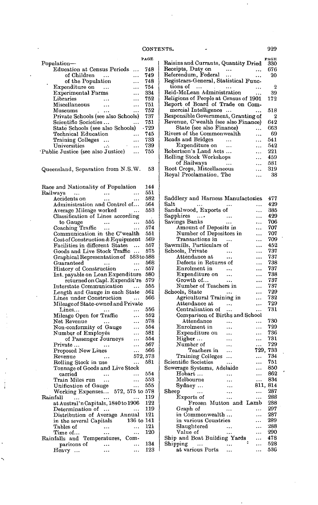|                                           |           | <b>PAGE</b> |
|-------------------------------------------|-----------|-------------|
| Population-                               |           |             |
| <b>Education at Census Periods</b>        |           | 748         |
| of Children                               |           | 749         |
| of the Population                         | .         | 748         |
| Expenditure on<br>$\sim$ $\sim$           | $\ddotsc$ | 754         |
| <b>Experimental Farms</b>                 |           | 334         |
| Libraries<br>$\ddotsc$                    | $\ddotsc$ | 752         |
| Miscellaneous<br>$\ddotsc$                |           | 751         |
| Museums                                   |           | 752         |
| Private Schools (see also Schools)        |           | 737         |
| Scientific Societies                      |           | 751         |
| State Schools (see also Schools)          |           | $-729$      |
| Technical Education                       |           | 745         |
| Training Colleges                         | $\ddotsc$ | 733         |
| Universities<br>$\cdots$<br>$\sim$ $\sim$ |           | 739         |
| Public Justice (see also Justice)         |           | 755         |
| Queensland, Separation from N.S.W.        |           | 53          |

Race and Nationality of Population 144<br>Railways ... ... ... 551 ... ... ... 551<br>1580 ... ... 582 Accidents on ... ... 582<br>Administration and Control of... 564 Administration and Control of... 564<br>Average Mileage worked ... 553 Average Mileage worked Classification of Lines according<br>to Gauge ... ... to Gauge ... ... 555<br>baching Traffic ... ... 574 Coaching Traffic ... ... 574<br>Communication in the C'wealth 551 Communication in the C'wealth  $551$ <br>Cost of Construction & Equipment 569 Cost of Construction & Equipment 569<br>Facilities in different States ... 557 Facilities in different States ... 557<br>Goods and Live Stock Traffic ... 575 Goods and Live Stock Traffic ... Graphical Representation of 583 to 588<br>Guaranteed ... 568 Guaranteed ... ... 568<br>History of Construction ... 557 History of Construction Int. payable on Loan Expenditure 580 returned on Capl. Expendit're 579<br>rstate Communication ... 555 Interstate Communication ... 555<br>Length and Gauge in each State 561 Length and Gauge in each State 561<br>Lines under Construction ... 566 Lines under Construction ... Mileage of State-owned and Private<br>Lines... ... ... ... ... Lines... ... ... ... 556<br>ileage Open for Traffic ... 552 Mileage Open for Traffic ... 552<br>Net Revenue ... ... 578 Net Revenue ... ... 578<br>Non-conformity of Gauge ... 554 Non-conformity of Gauge ... 554<br>Number of Employés ... 581 Number of Employés ... 581<br>of Passenger Journeys ... 554 of Passenger Journeys ... 554<br>rate ... ... ... 567 Private... ... ... 567<br>Proposed New Lines ... 566 Proposed New Lines<br>Revenue ...  $\begin{array}{ll}\n... & 572,573 \\
\text{se} & ... & 581\n\end{array}$ Rolling Stock in use ... Tonnage of Goods and Live Stock carried ... ... 554<br>
exain Miles run ... ... 553 Train Miles run ... ... ... 553<br>Unification of Gauge .... 555 Unification of Gauge ... Working Expenses... 572, 575 to 578 Rainfall ... ... ... 119 at Austral' n Capitals, 1840 to 1906 122<br>Determination of ... . . . . . . . 119 Determination of ...  $\cdots$  ... Distribution of Average Annual 121<br>in the several Capitals 136 to 141 in the several Capitals 136 to 141<br>Tables of ... ... 121 Tables of ... ... 121<br>Time of ... ... ... 120 Time of... Rainfalls and Temperatures, Comparisons of ... ... 134<br>eavy ... ... ... 123 Heavy ... ... ... ... ...

|                                         | <b>PAGE</b> |
|-----------------------------------------|-------------|
| Raisins and Currants, Quantity Dried    | 330         |
| Receipts, Duty on<br>$\cdots$<br>       | 676         |
| Referendum, Federal<br>$\ddotsc$<br>    | 20          |
| Registrars-General, Statistical Func-   |             |
| $\text{tions of}$                       | -2          |
| Reid-McLean Administration<br>$\ddotsc$ | 39          |
| Religions of People at Census of 1901   | 172         |
| Report of Board of Trade on Com-        |             |
| mercial Intelligence<br>$\ddotsc$       | 518         |
| Responsible Government, Granting of     | - 2         |
| Revenue, C'wealth (see also Finance)    | 642         |
| State (see also Finance)<br>.           | 663         |
| Rivers of the Commonwealth<br>$\ddotsc$ | 69          |
| Roads and Bridges<br>$\ddotsc$          | 541         |
| Expenditure on<br>$\ddotsc$             | 542         |
| Robertson's Land Acts<br>$\ddotsc$      | 221         |
| Rolling Stock Workshops<br>$\ddotsc$    | 459         |
| of Railways<br>                         | 581         |
| Root Crops, Miscellaneous<br>.          | 319         |
| Royal Proclamation, The<br>             | - 38        |
|                                         |             |

| Saddlery and Harness Manufactories | 477      |
|------------------------------------|----------|
| $_{\rm Salt}$                      | 429      |
| Sandalwood, Exports of<br>         | 385      |
| Sapphires<br>$\sim 100$<br>.       | 429      |
| Savings Banks<br>.                 | 706      |
| Amount of Deposits in<br>          | 707      |
| Number of Depositors in<br>        | 707      |
| Transactions in<br>                | 709      |
| Sawmills, Particulars of<br>.      | 452      |
| Schools, Private<br>$\ddotsc$<br>. | 737      |
| Attendance at<br><br>              | 737      |
| Defects in Returns of<br>.         | 738      |
| Enrolment in<br>.                  | 737      |
| Expenditure on<br><br>.            | 738      |
| Growth of<br>.                     | 737      |
| Number of Teachers in<br>.         | 737      |
| Schools, State<br>.                | 729      |
| Agricultural Training in<br>.      | 732      |
| Attendance at<br>                  | 729      |
| Centralisation of<br>.<br>         | 731      |
| Comparison of Births and School    |          |
| Attendance                         | 730      |
| Enrolment in<br>.                  | 729      |
| Expenditure on<br><br>.            | 736      |
| Higher<br>                         | 731      |
| Number of<br>.<br>                 | 729      |
| 729.<br>Teachers in<br>.           | 733      |
| Training Colleges<br>.<br>         | 734      |
| Scientific Societies<br>.          | 751      |
| Sewerage Systems, Adelaide<br>.    | 850      |
| Hobart<br>.                        | 862      |
| Melbourne<br>.                     | 834      |
| $Sydney \dots$<br>                 | 811, 814 |
| $_{\rm Sheep}$<br><br>$\ddotsc$    | 287      |
| Exports of<br>.<br>.               | 288      |
| Frozen Mutton and Lamb             | 288      |
| Graph of                           | 297      |
| in Commonwealth<br>.               | 287      |
| in various Countries<br>.          | 289      |
| Slaughtered<br>.                   | 288      |
| Value of<br>.<br>.                 | 290      |
| Ship and Boat Building Yards       | 478      |
| ċ<br>Shipping<br>.<br>$\ldots$     | 528      |
| at various Ports<br>$\cdots$       | 536      |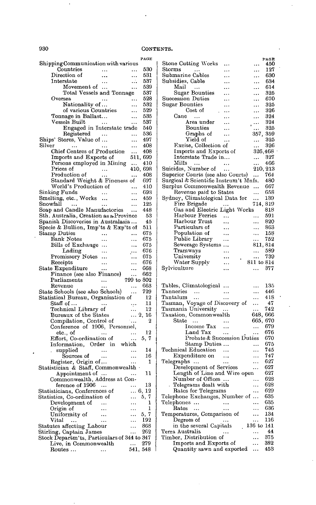$\overline{\phantom{a}}$ 

#### 930 CONTENTS.

|                                                              |           |            | PAGE        |
|--------------------------------------------------------------|-----------|------------|-------------|
| Shipping Communication with various<br>Countries             |           |            | 530         |
| Direction of                                                 | $\ldots$  | .          | 531         |
| Interstate                                                   |           |            | 537         |
| Movement of                                                  | $\ddotsc$ |            | 539         |
| Total Vessels and Tonnage                                    |           |            | 537         |
| Oversea                                                      |           |            | 528         |
| Nationality of                                               |           |            | 532         |
| of various Countries                                         |           |            | 529         |
| Tonnage in Ballast                                           |           |            | 535<br>537  |
| Vessels Built<br>Engaged in Interstate trade                 |           | .          | 540         |
| Registered                                                   |           | .          | 536         |
| Ships' Stores, Value of                                      |           | .          | 497         |
| Silver                                                       |           | .          | 408         |
| Chief Centres of Production                                  |           | $\ddotsc$  | 408         |
| Imports and Exports of                                       |           | 511,       | 699         |
| Persons employed in Mining                                   |           |            | 410         |
| Prices of                                                    |           | 410.       | 698         |
| Production of                                                |           | .          | 408         |
| Standard Weight & Fineness of<br>World's Production of       |           |            | 697<br>410  |
| Sinking Funds                                                |           |            | 693         |
| Smelting, etc., Works                                        | $\ddotsc$ | .<br>.     | 459         |
| Snowfall<br>$\sim$                                           |           | .          | 125         |
| Soap and Candle Manufactories                                |           | .          | 448         |
| Sth. Australia, Creation as a Province                       |           |            | 53          |
| Spanish Discoveries in Australasia                           |           |            | 45          |
| Specie & Bullion, Imp'ts & Exp'ts of                         |           |            | 511         |
| Stamp Duties                                                 |           |            | 675         |
| <b>Bank Notes</b>                                            |           |            | 675         |
| Bills of Exchange                                            |           |            | 675<br>676  |
| Lading<br>Promissory Notes                                   |           | $\cdots$   | 675         |
| Receipts                                                     |           | .          | 676         |
| State Expenditure                                            |           |            | 668         |
| Finance (see also Finance)                                   |           |            | 662         |
| Parliaments                                                  | .         | 799 to 802 |             |
| Revenue                                                      |           | .          | 663         |
| State Schools (see also Schools)                             |           |            | 729         |
| Statistical Bureau, Organisation of                          |           |            | 12          |
| Staff of                                                     |           | .,.        | 11          |
| Technical Library of<br>Bureaux of the States                |           |            | 12<br>2, 16 |
| Compilation, Control of                                      |           | .          | 2           |
| Conference of 1906, Personnel,                               |           |            |             |
| etc., of                                                     |           | .          | 12          |
| Effort, Co-ordination of                                     |           | .          | 5, 7        |
| Information, Order in which                                  |           |            |             |
| supplied                                                     |           | $\ddotsc$  | 14          |
| Sources of                                                   |           | $\ddotsc$  | 16          |
| Register, Origin of                                          |           |            | 1           |
| Statistician & Staff, Commonwealth $\cdot$<br>Appointment of |           |            | 11          |
| Commonwealth, Address at Con-                                |           |            |             |
| $f$ erence of $1906 \ldots$                                  |           |            | 13          |
| Statisticians, Conferences of                                |           |            | 6, 12       |
| Statistics, Co-ordination of                                 |           |            | 5, 7        |
| Development of                                               |           | .          | 1           |
| Origin of                                                    |           |            | 1           |
| Uniformity of                                                |           | ٠.,        | 5, 7        |
| Vital<br>                                                    |           |            | 192         |
| Statutes affecting Labour<br>Stirling, Captain James         |           | .          | 868<br>262  |
| Stock Departm'ts, Particulars of 344 to 347                  |           |            |             |
| Live, in Commonwealth                                        |           |            |             |
|                                                              |           | .          | 279         |

ł,

|                                                      |                  |                    | PAGE       |
|------------------------------------------------------|------------------|--------------------|------------|
| <b>Stone Cutting Works</b>                           |                  |                    | 450        |
| $_{\rm Storms}$                                      |                  | .                  | 127        |
| Submarine Cables                                     | .                |                    | 630        |
| Subsidies, Cable                                     |                  | .                  | 634        |
| $\operatorname{Mail}$<br>$\sim$                      |                  |                    | 614        |
| Sugar Bounties                                       |                  |                    | 325        |
| Succession Duties                                    |                  |                    | 670        |
| Sugar Bounties                                       |                  |                    | 325        |
| Cost of                                              |                  | .                  | 326        |
| Cane<br>$\ddotsc$                                    |                  | .                  | 324        |
| Area under                                           |                  | $\ldots$           | 324        |
| Bounties                                             |                  | .                  | 325        |
| Graphs of                                            |                  | 357,               | 359        |
| Yield of                                             |                  | .                  | 325        |
| Excise, Collection of                                |                  | .                  | 326        |
| Imports and Exports of                               |                  | 326,468            |            |
| Interstate Trade in                                  |                  |                    | 327        |
| Mills<br>$\cdots$                                    | $\ddotsc$        |                    | 466        |
| Suicides, Number of                                  |                  | 210, 213           |            |
| Superior Courts (see also Courts)                    | $\sim$ 100 $\pm$ |                    | 764        |
|                                                      |                  |                    |            |
| Surgical & Scientific Instrum't Mnfs.                |                  |                    | 480        |
| Surplus Commonwealth Revenue                         |                  |                    | 667        |
| Revenue paid to States                               |                  |                    | 658        |
| Sydney, Climatological Data for                      |                  | .                  | 139        |
| Fire Brigade                                         | $\ddotsc$        | 714, 819           |            |
| Gas and Electric Light Works                         |                  |                    | $^{818}$   |
| Harbour Ferries                                      |                  |                    | 591        |
| Harbour Trust                                        |                  | .                  | 820        |
| Particulars of                                       | .                |                    | 863        |
| Population of                                        | .                | .                  | 158        |
| Public Library                                       | .                |                    | 752        |
| Sewerage Systems                                     |                  | 811,814            |            |
| Tramways                                             | .                |                    | 589        |
|                                                      |                  |                    |            |
|                                                      |                  |                    |            |
| University                                           |                  |                    | 739        |
| Water Supply                                         |                  | $811\,$ to $814\,$ |            |
| Sylviculture                                         |                  | .                  | 377        |
|                                                      |                  |                    |            |
|                                                      |                  |                    |            |
| Tables, Climatological                               |                  | .                  | 135        |
| Tanneries<br>$\cdots$                                | .                | .                  | 446        |
| Tantalum<br>$\ddotsc$                                | .                | .                  | 418        |
| Tasman, Voyage of Discovery of                       |                  |                    | 47         |
| Tasmania University                                  | $\ldots$         | .                  | 742        |
| Taxation, Commonwealth                               |                  | 648, 666           |            |
| $_{\rm State}$<br>.                                  |                  | 665,               | 670        |
| Income Tax                                           |                  | .                  | 679        |
| Land Tax                                             |                  | .                  | 676        |
| Probate & Succession Duties                          |                  |                    | 670        |
| Stamp Duties                                         |                  | .                  | 675        |
| Technical Education                                  |                  | .                  | 745        |
| Expenditure on                                       |                  |                    | 747        |
| Telegraphs<br>$\sim$                                 |                  |                    | 627        |
| Development of Services                              |                  | .                  | 627        |
| Length of Line and Wire open                         |                  |                    | 627        |
| Number of Offices                                    |                  | .                  | 628        |
|                                                      |                  |                    | 628        |
| Telegrams dealt with                                 |                  |                    | 629        |
| Rates for Telegrams                                  |                  |                    |            |
| Telephone Exchanges, Number of                       |                  |                    | 635        |
| Telephones<br>.                                      |                  | .                  | 635        |
| $_{\rm Rates}$                                       |                  | .                  | 636        |
| Temperatures, Comparison of                          |                  |                    | 134        |
| Degrees of                                           |                  |                    | 116        |
| in the several Capitals                              |                  | 136 to             | 141        |
| Terra Australis                                      |                  |                    | 44         |
| Timber, Distribution of                              |                  |                    | 375        |
| Imports and Exports of<br>Quantity sawn and exported |                  | .                  | 382<br>453 |

 $\bar{\bar{z}}$